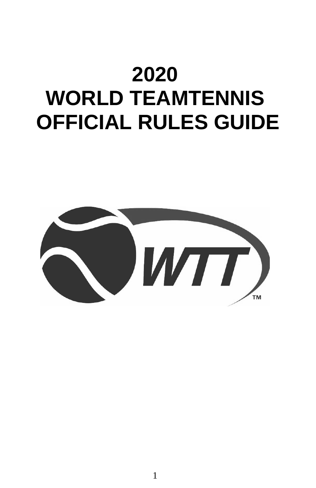### **2020 WORLD TEAMTENNIS OFFICIAL RULES GUIDE**

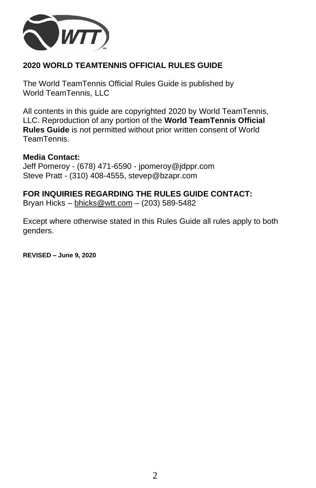

#### **2020 WORLD TEAMTENNIS OFFICIAL RULES GUIDE**

The World TeamTennis Official Rules Guide is published by World TeamTennis, LLC

All contents in this guide are copyrighted 2020 by World TeamTennis, LLC. Reproduction of any portion of the **World TeamTennis Official Rules Guide** is not permitted without prior written consent of World TeamTennis.

#### **Media Contact:**

Jeff Pomeroy - (678) 471-6590 - jpomeroy@jdppr.com Steve Pratt - (310) 408-4555, stevep@bzapr.com

#### **FOR INQUIRIES REGARDING THE RULES GUIDE CONTACT:**

Bryan Hicks – [bhicks@wtt.com](mailto:bhicks@wtt.com) – (203) 589-5482

Except where otherwise stated in this Rules Guide all rules apply to both genders.

**REVISED – June 9, 2020**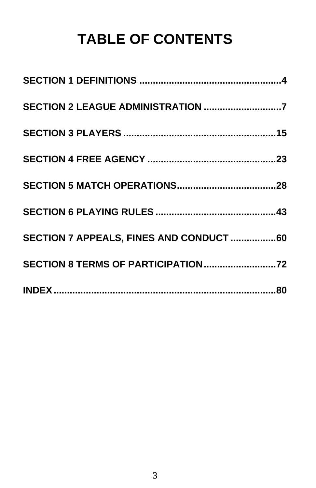### **TABLE OF CONTENTS**

| SECTION 2 LEAGUE ADMINISTRATION 7       |  |
|-----------------------------------------|--|
|                                         |  |
|                                         |  |
|                                         |  |
|                                         |  |
| SECTION 7 APPEALS, FINES AND CONDUCT 60 |  |
|                                         |  |
|                                         |  |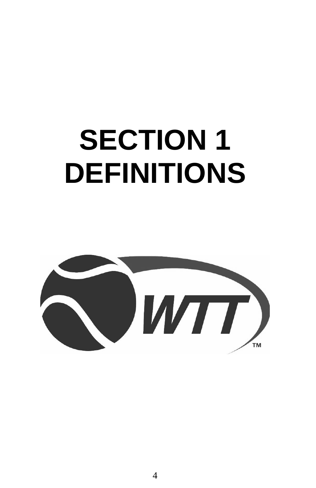# <span id="page-3-0"></span>**SECTION 1 DEFINITIONS**

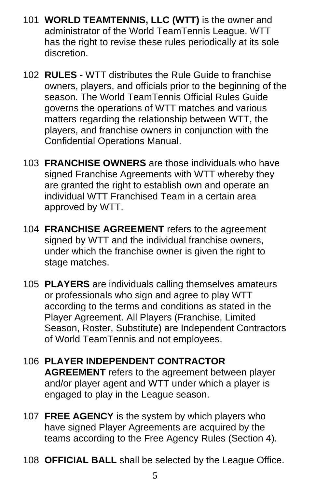- 101 **WORLD TEAMTENNIS, LLC (WTT)** is the owner and administrator of the World TeamTennis League. WTT has the right to revise these rules periodically at its sole discretion.
- 102 **RULES** WTT distributes the Rule Guide to franchise owners, players, and officials prior to the beginning of the season. The World TeamTennis Official Rules Guide governs the operations of WTT matches and various matters regarding the relationship between WTT, the players, and franchise owners in conjunction with the Confidential Operations Manual.
- 103 **FRANCHISE OWNERS** are those individuals who have signed Franchise Agreements with WTT whereby they are granted the right to establish own and operate an individual WTT Franchised Team in a certain area approved by WTT.
- 104 **FRANCHISE AGREEMENT** refers to the agreement signed by WTT and the individual franchise owners, under which the franchise owner is given the right to stage matches.
- 105 **PLAYERS** are individuals calling themselves amateurs or professionals who sign and agree to play WTT according to the terms and conditions as stated in the Player Agreement. All Players (Franchise, Limited Season, Roster, Substitute) are Independent Contractors of World TeamTennis and not employees.
- 106 **PLAYER INDEPENDENT CONTRACTOR AGREEMENT** refers to the agreement between player and/or player agent and WTT under which a player is engaged to play in the League season.
- 107 **FREE AGENCY** is the system by which players who have signed Player Agreements are acquired by the teams according to the Free Agency Rules (Section 4).
- 108 **OFFICIAL BALL** shall be selected by the League Office.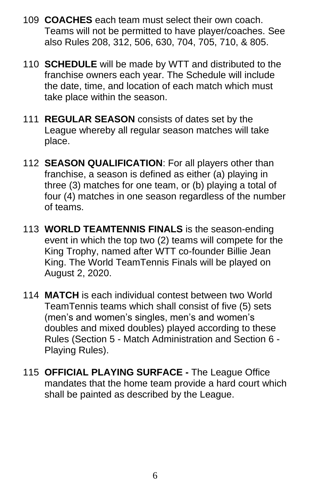- 109 **COACHES** each team must select their own coach. Teams will not be permitted to have player/coaches. See also Rules 208, 312, 506, 630, 704, 705, 710, & 805.
- 110 **SCHEDULE** will be made by WTT and distributed to the franchise owners each year. The Schedule will include the date, time, and location of each match which must take place within the season.
- 111 **REGULAR SEASON** consists of dates set by the League whereby all regular season matches will take place.
- 112 **SEASON QUALIFICATION**: For all players other than franchise, a season is defined as either (a) playing in three (3) matches for one team, or (b) playing a total of four (4) matches in one season regardless of the number of teams.
- 113 **WORLD TEAMTENNIS FINALS** is the season-ending event in which the top two (2) teams will compete for the King Trophy, named after WTT co-founder Billie Jean King. The World TeamTennis Finals will be played on August 2, 2020.
- 114 **MATCH** is each individual contest between two World TeamTennis teams which shall consist of five (5) sets (men's and women's singles, men's and women's doubles and mixed doubles) played according to these Rules (Section 5 - Match Administration and Section 6 - Playing Rules).
- 115 **OFFICIAL PLAYING SURFACE -** The League Office mandates that the home team provide a hard court which shall be painted as described by the League.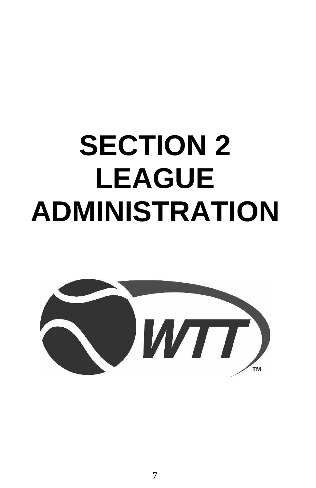### <span id="page-6-0"></span>**SECTION 2 LEAGUE ADMINISTRATION**

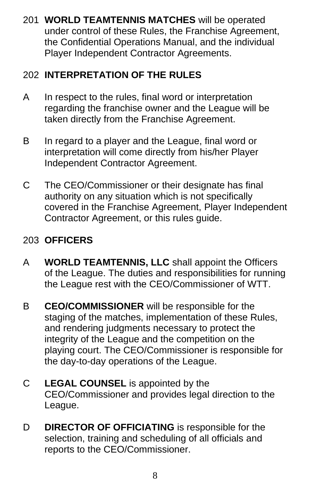201 **WORLD TEAMTENNIS MATCHES** will be operated under control of these Rules, the Franchise Agreement, the Confidential Operations Manual, and the individual Player Independent Contractor Agreements.

#### 202 **INTERPRETATION OF THE RULES**

- A In respect to the rules, final word or interpretation regarding the franchise owner and the League will be taken directly from the Franchise Agreement.
- B In regard to a player and the League, final word or interpretation will come directly from his/her Player Independent Contractor Agreement.
- C The CEO/Commissioner or their designate has final authority on any situation which is not specifically covered in the Franchise Agreement, Player Independent Contractor Agreement, or this rules guide.

#### 203 **OFFICERS**

- A **WORLD TEAMTENNIS, LLC** shall appoint the Officers of the League. The duties and responsibilities for running the League rest with the CEO/Commissioner of WTT.
- B **CEO/COMMISSIONER** will be responsible for the staging of the matches, implementation of these Rules, and rendering judgments necessary to protect the integrity of the League and the competition on the playing court. The CEO/Commissioner is responsible for the day-to-day operations of the League.
- C **LEGAL COUNSEL** is appointed by the CEO/Commissioner and provides legal direction to the League.
- D **DIRECTOR OF OFFICIATING** is responsible for the selection, training and scheduling of all officials and reports to the CEO/Commissioner.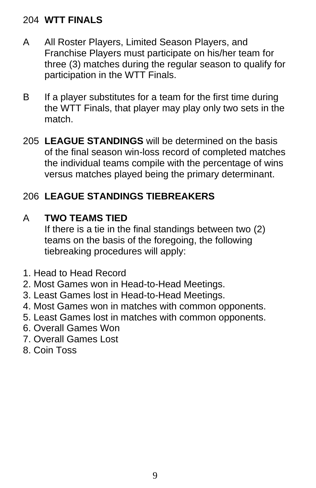#### 204 **WTT FINALS**

- A All Roster Players, Limited Season Players, and Franchise Players must participate on his/her team for three (3) matches during the regular season to qualify for participation in the WTT Finals.
- B If a player substitutes for a team for the first time during the WTT Finals, that player may play only two sets in the match.
- 205 **LEAGUE STANDINGS** will be determined on the basis of the final season win-loss record of completed matches the individual teams compile with the percentage of wins versus matches played being the primary determinant.

#### 206 **LEAGUE STANDINGS TIEBREAKERS**

#### A **TWO TEAMS TIED**

If there is a tie in the final standings between two (2) teams on the basis of the foregoing, the following tiebreaking procedures will apply:

- 1. Head to Head Record
- 2. Most Games won in Head-to-Head Meetings.
- 3. Least Games lost in Head-to-Head Meetings.
- 4. Most Games won in matches with common opponents.
- 5. Least Games lost in matches with common opponents.
- 6. Overall Games Won
- 7. Overall Games Lost
- 8. Coin Toss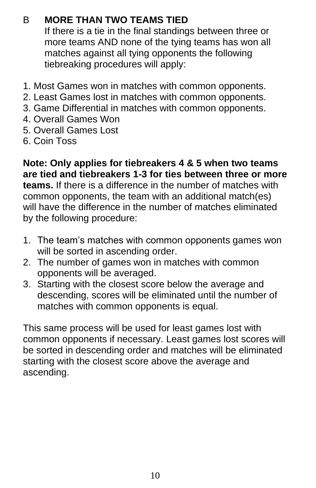#### B **MORE THAN TWO TEAMS TIED**

If there is a tie in the final standings between three or more teams AND none of the tying teams has won all matches against all tying opponents the following tiebreaking procedures will apply:

- 1. Most Games won in matches with common opponents.
- 2. Least Games lost in matches with common opponents.
- 3. Game Differential in matches with common opponents.
- 4. Overall Games Won
- 5. Overall Games Lost
- 6. Coin Toss

**Note: Only applies for tiebreakers 4 & 5 when two teams are tied and tiebreakers 1-3 for ties between three or more teams.** If there is a difference in the number of matches with common opponents, the team with an additional match(es) will have the difference in the number of matches eliminated by the following procedure:

- 1. The team's matches with common opponents games won will be sorted in ascending order.
- 2. The number of games won in matches with common opponents will be averaged.
- 3. Starting with the closest score below the average and descending, scores will be eliminated until the number of matches with common opponents is equal.

This same process will be used for least games lost with common opponents if necessary. Least games lost scores will be sorted in descending order and matches will be eliminated starting with the closest score above the average and ascending.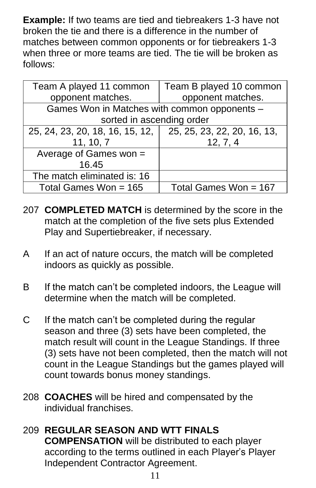**Example:** If two teams are tied and tiebreakers 1-3 have not broken the tie and there is a difference in the number of matches between common opponents or for tiebreakers 1-3 when three or more teams are tied. The tie will be broken as follows:

| Team A played 11 common                      | Team B played 10 common     |  |
|----------------------------------------------|-----------------------------|--|
| opponent matches.                            | opponent matches.           |  |
| Games Won in Matches with common opponents - |                             |  |
| sorted in ascending order                    |                             |  |
| 25, 24, 23, 20, 18, 16, 15, 12,              | 25, 25, 23, 22, 20, 16, 13, |  |
| 11, 10, 7                                    | 12, 7, 4                    |  |
| Average of Games won =                       |                             |  |
| 16.45                                        |                             |  |
| The match eliminated is: 16                  |                             |  |
| Total Games Won = 165                        | Total Games Won = 167       |  |

- 207 **COMPLETED MATCH** is determined by the score in the match at the completion of the five sets plus Extended Play and Supertiebreaker, if necessary.
- A If an act of nature occurs, the match will be completed indoors as quickly as possible.
- B If the match can't be completed indoors, the League will determine when the match will be completed.
- C If the match can't be completed during the regular season and three (3) sets have been completed, the match result will count in the League Standings. If three (3) sets have not been completed, then the match will not count in the League Standings but the games played will count towards bonus money standings.
- 208 **COACHES** will be hired and compensated by the individual franchises.

#### 209 **REGULAR SEASON AND WTT FINALS COMPENSATION** will be distributed to each player according to the terms outlined in each Player's Player Independent Contractor Agreement.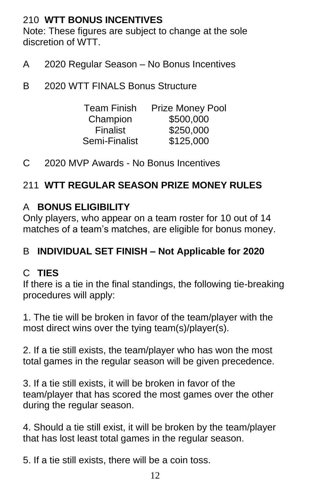#### 210 **WTT BONUS INCENTIVES**

Note: These figures are subject to change at the sole discretion of WTT.

- A 2020 Regular Season No Bonus Incentives
- B 2020 WTT FINALS Bonus Structure

| <b>Prize Money Pool</b> |
|-------------------------|
| \$500,000               |
| \$250,000               |
| \$125,000               |
|                         |

C 2020 MVP Awards - No Bonus Incentives

#### 211 **WTT REGULAR SEASON PRIZE MONEY RULES**

#### A **BONUS ELIGIBILITY**

Only players, who appear on a team roster for 10 out of 14 matches of a team's matches, are eligible for bonus money.

#### B **INDIVIDUAL SET FINISH – Not Applicable for 2020**

#### C **TIES**

If there is a tie in the final standings, the following tie-breaking procedures will apply:

1. The tie will be broken in favor of the team/player with the most direct wins over the tying team(s)/player(s).

2. If a tie still exists, the team/player who has won the most total games in the regular season will be given precedence.

3. If a tie still exists, it will be broken in favor of the team/player that has scored the most games over the other during the regular season.

4. Should a tie still exist, it will be broken by the team/player that has lost least total games in the regular season.

5. If a tie still exists, there will be a coin toss.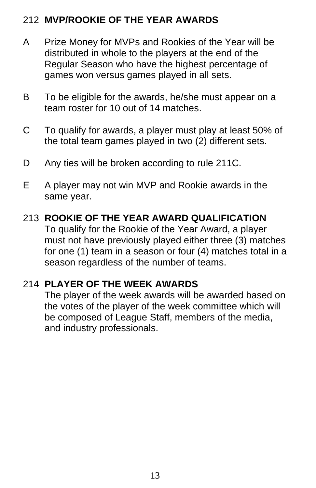#### 212 **MVP/ROOKIE OF THE YEAR AWARDS**

- A Prize Money for MVPs and Rookies of the Year will be distributed in whole to the players at the end of the Regular Season who have the highest percentage of games won versus games played in all sets.
- B To be eligible for the awards, he/she must appear on a team roster for 10 out of 14 matches.
- C To qualify for awards, a player must play at least 50% of the total team games played in two (2) different sets.
- D Any ties will be broken according to rule 211C.
- E A player may not win MVP and Rookie awards in the same year.

#### 213 **ROOKIE OF THE YEAR AWARD QUALIFICATION**

To qualify for the Rookie of the Year Award, a player must not have previously played either three (3) matches for one (1) team in a season or four (4) matches total in a season regardless of the number of teams.

#### 214 **PLAYER OF THE WEEK AWARDS**

The player of the week awards will be awarded based on the votes of the player of the week committee which will be composed of League Staff, members of the media, and industry professionals.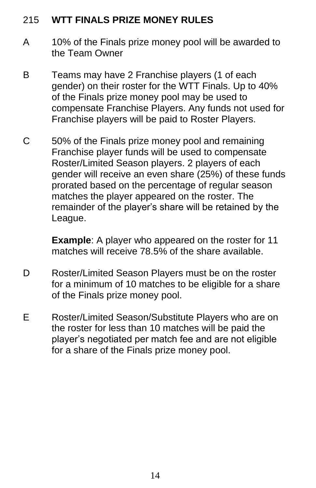#### 215 **WTT FINALS PRIZE MONEY RULES**

- A 10% of the Finals prize money pool will be awarded to the Team Owner
- B Teams may have 2 Franchise players (1 of each gender) on their roster for the WTT Finals. Up to 40% of the Finals prize money pool may be used to compensate Franchise Players. Any funds not used for Franchise players will be paid to Roster Players.
- C 50% of the Finals prize money pool and remaining Franchise player funds will be used to compensate Roster/Limited Season players. 2 players of each gender will receive an even share (25%) of these funds prorated based on the percentage of regular season matches the player appeared on the roster. The remainder of the player's share will be retained by the League.

**Example**: A player who appeared on the roster for 11 matches will receive 78.5% of the share available.

- D Roster/Limited Season Players must be on the roster for a minimum of 10 matches to be eligible for a share of the Finals prize money pool.
- E Roster/Limited Season/Substitute Players who are on the roster for less than 10 matches will be paid the player's negotiated per match fee and are not eligible for a share of the Finals prize money pool.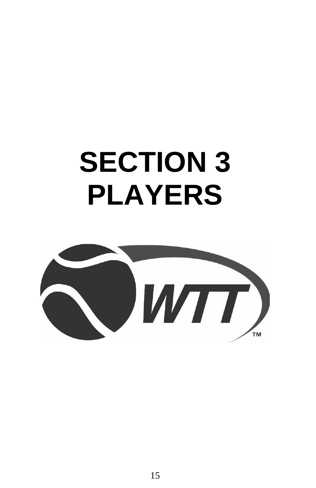# <span id="page-14-0"></span>**SECTION 3 PLAYERS**

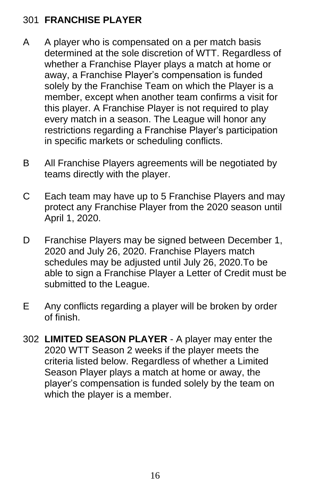#### 301 **FRANCHISE PLAYER**

- A A player who is compensated on a per match basis determined at the sole discretion of WTT. Regardless of whether a Franchise Player plays a match at home or away, a Franchise Player's compensation is funded solely by the Franchise Team on which the Player is a member, except when another team confirms a visit for this player. A Franchise Player is not required to play every match in a season. The League will honor any restrictions regarding a Franchise Player's participation in specific markets or scheduling conflicts.
- B All Franchise Players agreements will be negotiated by teams directly with the player.
- C Each team may have up to 5 Franchise Players and may protect any Franchise Player from the 2020 season until April 1, 2020.
- D Franchise Players may be signed between December 1, 2020 and July 26, 2020. Franchise Players match schedules may be adjusted until July 26, 2020.To be able to sign a Franchise Player a Letter of Credit must be submitted to the League.
- E Any conflicts regarding a player will be broken by order of finish.
- 302 **LIMITED SEASON PLAYER** A player may enter the 2020 WTT Season 2 weeks if the player meets the criteria listed below. Regardless of whether a Limited Season Player plays a match at home or away, the player's compensation is funded solely by the team on which the player is a member.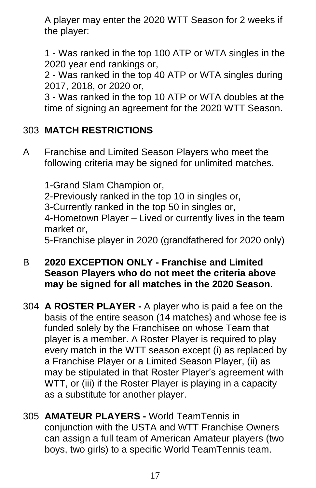A player may enter the 2020 WTT Season for 2 weeks if the player:

1 - Was ranked in the top 100 ATP or WTA singles in the 2020 year end rankings or,

2 - Was ranked in the top 40 ATP or WTA singles during 2017, 2018, or 2020 or,

3 - Was ranked in the top 10 ATP or WTA doubles at the time of signing an agreement for the 2020 WTT Season.

#### 303 **MATCH RESTRICTIONS**

A Franchise and Limited Season Players who meet the following criteria may be signed for unlimited matches.

1-Grand Slam Champion or,

2-Previously ranked in the top 10 in singles or,

3-Currently ranked in the top 50 in singles or,

4-Hometown Player – Lived or currently lives in the team market or,

5-Franchise player in 2020 (grandfathered for 2020 only)

- B **2020 EXCEPTION ONLY - Franchise and Limited Season Players who do not meet the criteria above may be signed for all matches in the 2020 Season.**
- 304 **A ROSTER PLAYER -** A player who is paid a fee on the basis of the entire season (14 matches) and whose fee is funded solely by the Franchisee on whose Team that player is a member. A Roster Player is required to play every match in the WTT season except (i) as replaced by a Franchise Player or a Limited Season Player, (ii) as may be stipulated in that Roster Player's agreement with WTT, or (iii) if the Roster Player is playing in a capacity as a substitute for another player.
- 305 **AMATEUR PLAYERS -** World TeamTennis in conjunction with the USTA and WTT Franchise Owners can assign a full team of American Amateur players (two boys, two girls) to a specific World TeamTennis team.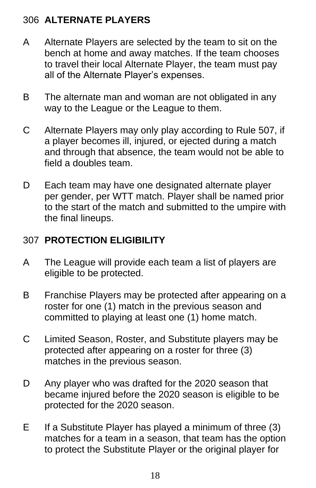#### 306 **ALTERNATE PLAYERS**

- A Alternate Players are selected by the team to sit on the bench at home and away matches. If the team chooses to travel their local Alternate Player, the team must pay all of the Alternate Player's expenses.
- B The alternate man and woman are not obligated in any way to the League or the League to them.
- C Alternate Players may only play according to Rule 507, if a player becomes ill, injured, or ejected during a match and through that absence, the team would not be able to field a doubles team.
- D Each team may have one designated alternate player per gender, per WTT match. Player shall be named prior to the start of the match and submitted to the umpire with the final lineups.

#### 307 **PROTECTION ELIGIBILITY**

- A The League will provide each team a list of players are eligible to be protected.
- B Franchise Players may be protected after appearing on a roster for one (1) match in the previous season and committed to playing at least one (1) home match.
- C Limited Season, Roster, and Substitute players may be protected after appearing on a roster for three (3) matches in the previous season.
- D Any player who was drafted for the 2020 season that became injured before the 2020 season is eligible to be protected for the 2020 season.
- E If a Substitute Player has played a minimum of three (3) matches for a team in a season, that team has the option to protect the Substitute Player or the original player for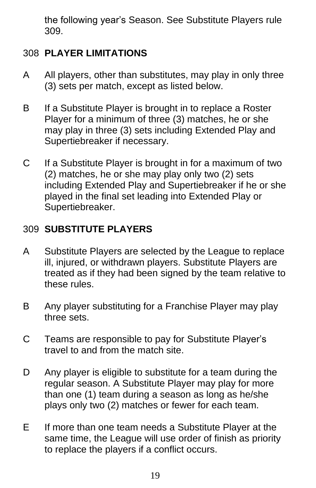the following year's Season. See Substitute Players rule 309.

#### 308 **PLAYER LIMITATIONS**

- A All players, other than substitutes, may play in only three (3) sets per match, except as listed below.
- B If a Substitute Player is brought in to replace a Roster Player for a minimum of three (3) matches, he or she may play in three (3) sets including Extended Play and Supertiebreaker if necessary.
- C If a Substitute Player is brought in for a maximum of two (2) matches, he or she may play only two (2) sets including Extended Play and Supertiebreaker if he or she played in the final set leading into Extended Play or Supertiebreaker.

#### 309 **SUBSTITUTE PLAYERS**

- A Substitute Players are selected by the League to replace ill, injured, or withdrawn players. Substitute Players are treated as if they had been signed by the team relative to these rules.
- B Any player substituting for a Franchise Player may play three sets.
- C Teams are responsible to pay for Substitute Player's travel to and from the match site.
- D Any player is eligible to substitute for a team during the regular season. A Substitute Player may play for more than one (1) team during a season as long as he/she plays only two (2) matches or fewer for each team.
- E If more than one team needs a Substitute Player at the same time, the League will use order of finish as priority to replace the players if a conflict occurs.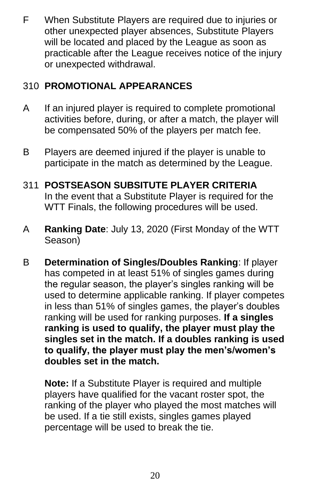F When Substitute Players are required due to injuries or other unexpected player absences, Substitute Players will be located and placed by the League as soon as practicable after the League receives notice of the injury or unexpected withdrawal.

#### 310 **PROMOTIONAL APPEARANCES**

- A If an injured player is required to complete promotional activities before, during, or after a match, the player will be compensated 50% of the players per match fee.
- B Players are deemed injured if the player is unable to participate in the match as determined by the League.
- 311 **POSTSEASON SUBSITUTE PLAYER CRITERIA** In the event that a Substitute Player is required for the WTT Finals, the following procedures will be used.
- A **Ranking Date**: July 13, 2020 (First Monday of the WTT Season)
- B **Determination of Singles/Doubles Ranking**: If player has competed in at least 51% of singles games during the regular season, the player's singles ranking will be used to determine applicable ranking. If player competes in less than 51% of singles games, the player's doubles ranking will be used for ranking purposes. **If a singles ranking is used to qualify, the player must play the singles set in the match. If a doubles ranking is used to qualify, the player must play the men's/women's doubles set in the match.**

**Note:** If a Substitute Player is required and multiple players have qualified for the vacant roster spot, the ranking of the player who played the most matches will be used. If a tie still exists, singles games played percentage will be used to break the tie.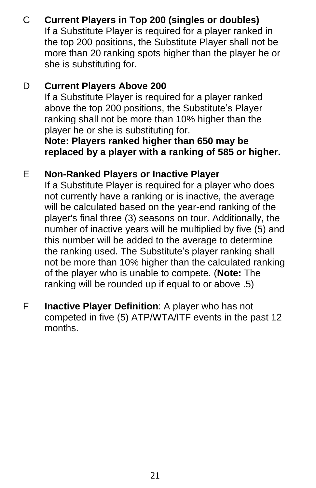#### C **Current Players in Top 200 (singles or doubles)**

If a Substitute Player is required for a player ranked in the top 200 positions, the Substitute Player shall not be more than 20 ranking spots higher than the player he or she is substituting for.

#### D **Current Players Above 200**

If a Substitute Player is required for a player ranked above the top 200 positions, the Substitute's Player ranking shall not be more than 10% higher than the player he or she is substituting for.

**Note: Players ranked higher than 650 may be replaced by a player with a ranking of 585 or higher.**

#### E **Non-Ranked Players or Inactive Player**

If a Substitute Player is required for a player who does not currently have a ranking or is inactive, the average will be calculated based on the year-end ranking of the player's final three (3) seasons on tour. Additionally, the number of inactive years will be multiplied by five (5) and this number will be added to the average to determine the ranking used. The Substitute's player ranking shall not be more than 10% higher than the calculated ranking of the player who is unable to compete. (**Note:** The ranking will be rounded up if equal to or above .5)

F **Inactive Player Definition**: A player who has not competed in five (5) ATP/WTA/ITF events in the past 12 months.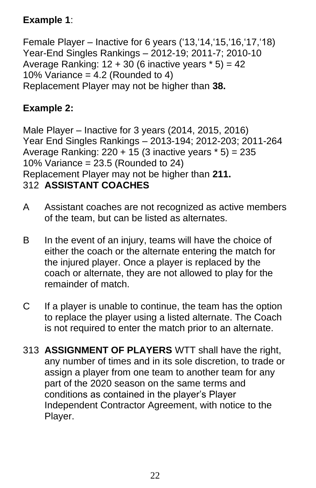#### **Example 1**:

Female Player – Inactive for 6 years ('13,'14,'15,'16,'17,'18) Year-End Singles Rankings – 2012-19; 2011-7; 2010-10 Average Ranking:  $12 + 30$  (6 inactive years  $* 5$ ) = 42 10% Variance =  $4.2$  (Rounded to 4) Replacement Player may not be higher than **38.**

#### **Example 2:**

Male Player – Inactive for 3 years (2014, 2015, 2016) Year End Singles Rankings – 2013-194; 2012-203; 2011-264 Average Ranking:  $220 + 15$  (3 inactive years  $*$  5) = 235 10% Variance =  $23.5$  (Rounded to 24) Replacement Player may not be higher than **211.** 312 **ASSISTANT COACHES**

- A Assistant coaches are not recognized as active members of the team, but can be listed as alternates.
- B In the event of an injury, teams will have the choice of either the coach or the alternate entering the match for the injured player. Once a player is replaced by the coach or alternate, they are not allowed to play for the remainder of match.
- C If a player is unable to continue, the team has the option to replace the player using a listed alternate. The Coach is not required to enter the match prior to an alternate.
- 313 **ASSIGNMENT OF PLAYERS** WTT shall have the right, any number of times and in its sole discretion, to trade or assign a player from one team to another team for any part of the 2020 season on the same terms and conditions as contained in the player's Player Independent Contractor Agreement, with notice to the Player.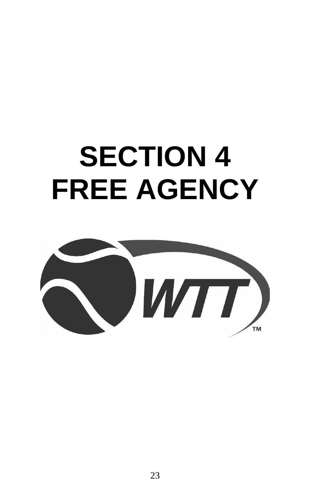# <span id="page-22-0"></span>**SECTION 4 FREE AGENCY**

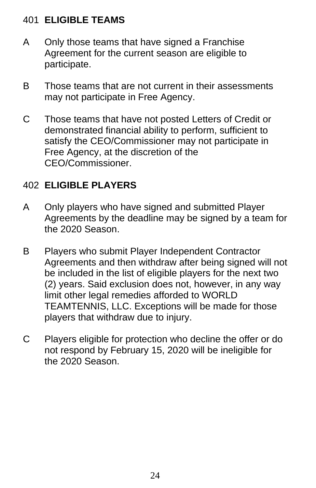#### 401 **ELIGIBLE TEAMS**

- A Only those teams that have signed a Franchise Agreement for the current season are eligible to participate.
- B Those teams that are not current in their assessments may not participate in Free Agency.
- C Those teams that have not posted Letters of Credit or demonstrated financial ability to perform, sufficient to satisfy the CEO/Commissioner may not participate in Free Agency, at the discretion of the CEO/Commissioner.

#### 402 **ELIGIBLE PLAYERS**

- A Only players who have signed and submitted Player Agreements by the deadline may be signed by a team for the 2020 Season.
- B Players who submit Player Independent Contractor Agreements and then withdraw after being signed will not be included in the list of eligible players for the next two (2) years. Said exclusion does not, however, in any way limit other legal remedies afforded to WORLD TEAMTENNIS, LLC. Exceptions will be made for those players that withdraw due to injury.
- C Players eligible for protection who decline the offer or do not respond by February 15, 2020 will be ineligible for the 2020 Season.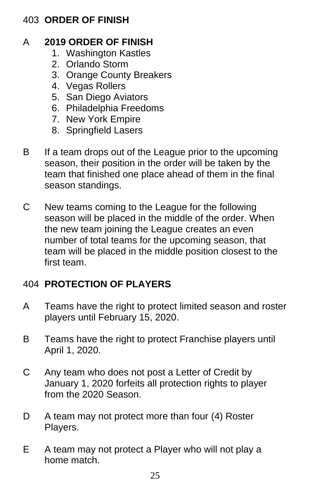#### 403 **ORDER OF FINISH**

#### A **2019 ORDER OF FINISH**

- 1. Washington Kastles
- 2. Orlando Storm
- 3. Orange County Breakers
- 4. Vegas Rollers
- 5. San Diego Aviators
- 6. Philadelphia Freedoms
- 7. New York Empire
- 8. Springfield Lasers
- B If a team drops out of the League prior to the upcoming season, their position in the order will be taken by the team that finished one place ahead of them in the final season standings.
- C New teams coming to the League for the following season will be placed in the middle of the order. When the new team joining the League creates an even number of total teams for the upcoming season, that team will be placed in the middle position closest to the first team.

#### 404 **PROTECTION OF PLAYERS**

- A Teams have the right to protect limited season and roster players until February 15, 2020.
- B Teams have the right to protect Franchise players until April 1, 2020.
- C Any team who does not post a Letter of Credit by January 1, 2020 forfeits all protection rights to player from the 2020 Season.
- D A team may not protect more than four (4) Roster Players.
- E A team may not protect a Player who will not play a home match.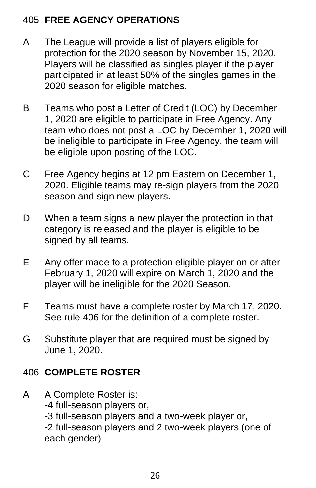#### 405 **FREE AGENCY OPERATIONS**

- A The League will provide a list of players eligible for protection for the 2020 season by November 15, 2020. Players will be classified as singles player if the player participated in at least 50% of the singles games in the 2020 season for eligible matches.
- B Teams who post a Letter of Credit (LOC) by December 1, 2020 are eligible to participate in Free Agency. Any team who does not post a LOC by December 1, 2020 will be ineligible to participate in Free Agency, the team will be eligible upon posting of the LOC.
- C Free Agency begins at 12 pm Eastern on December 1, 2020. Eligible teams may re-sign players from the 2020 season and sign new players.
- D When a team signs a new player the protection in that category is released and the player is eligible to be signed by all teams.
- E Any offer made to a protection eligible player on or after February 1, 2020 will expire on March 1, 2020 and the player will be ineligible for the 2020 Season.
- F Teams must have a complete roster by March 17, 2020. See rule 406 for the definition of a complete roster.
- G Substitute player that are required must be signed by June 1, 2020.

#### 406 **COMPLETE ROSTER**

A A Complete Roster is: -4 full-season players or, -3 full-season players and a two-week player or, -2 full-season players and 2 two-week players (one of each gender)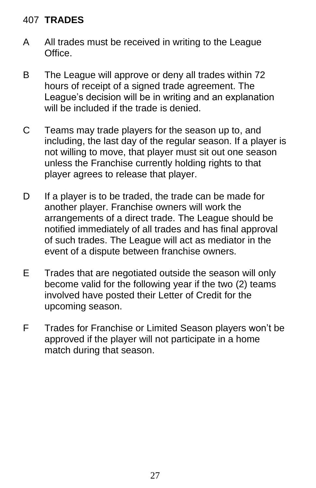#### 407 **TRADES**

- A All trades must be received in writing to the League Office.
- B The League will approve or deny all trades within 72 hours of receipt of a signed trade agreement. The League's decision will be in writing and an explanation will be included if the trade is denied.
- C Teams may trade players for the season up to, and including, the last day of the regular season. If a player is not willing to move, that player must sit out one season unless the Franchise currently holding rights to that player agrees to release that player.
- D If a player is to be traded, the trade can be made for another player. Franchise owners will work the arrangements of a direct trade. The League should be notified immediately of all trades and has final approval of such trades. The League will act as mediator in the event of a dispute between franchise owners.
- E Trades that are negotiated outside the season will only become valid for the following year if the two (2) teams involved have posted their Letter of Credit for the upcoming season.
- F Trades for Franchise or Limited Season players won't be approved if the player will not participate in a home match during that season.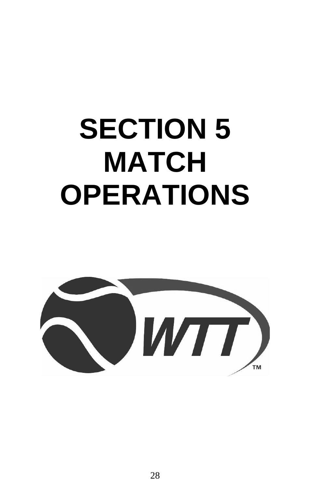### <span id="page-27-0"></span>**SECTION 5 MATCH OPERATIONS**

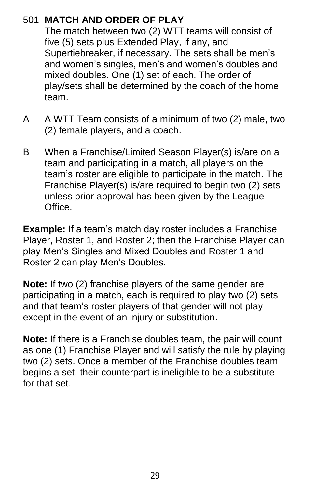#### 501 **MATCH AND ORDER OF PLAY**

The match between two (2) WTT teams will consist of five (5) sets plus Extended Play, if any, and Supertiebreaker, if necessary. The sets shall be men's and women's singles, men's and women's doubles and mixed doubles. One (1) set of each. The order of play/sets shall be determined by the coach of the home team.

- A A WTT Team consists of a minimum of two (2) male, two (2) female players, and a coach.
- B When a Franchise/Limited Season Player(s) is/are on a team and participating in a match, all players on the team's roster are eligible to participate in the match. The Franchise Player(s) is/are required to begin two (2) sets unless prior approval has been given by the League Office.

**Example:** If a team's match day roster includes a Franchise Player, Roster 1, and Roster 2; then the Franchise Player can play Men's Singles and Mixed Doubles and Roster 1 and Roster 2 can play Men's Doubles.

**Note:** If two (2) franchise players of the same gender are participating in a match, each is required to play two (2) sets and that team's roster players of that gender will not play except in the event of an injury or substitution.

**Note:** If there is a Franchise doubles team, the pair will count as one (1) Franchise Player and will satisfy the rule by playing two (2) sets. Once a member of the Franchise doubles team begins a set, their counterpart is ineligible to be a substitute for that set.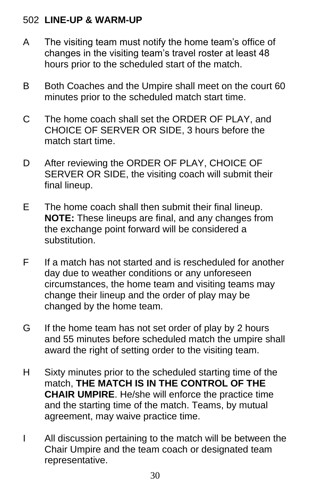#### 502 **LINE-UP & WARM-UP**

- A The visiting team must notify the home team's office of changes in the visiting team's travel roster at least 48 hours prior to the scheduled start of the match.
- B Both Coaches and the Umpire shall meet on the court 60 minutes prior to the scheduled match start time.
- C The home coach shall set the ORDER OF PLAY, and CHOICE OF SERVER OR SIDE, 3 hours before the match start time.
- D After reviewing the ORDER OF PLAY, CHOICE OF SERVER OR SIDE, the visiting coach will submit their final lineup.
- E The home coach shall then submit their final lineup. **NOTE:** These lineups are final, and any changes from the exchange point forward will be considered a substitution.
- F If a match has not started and is rescheduled for another day due to weather conditions or any unforeseen circumstances, the home team and visiting teams may change their lineup and the order of play may be changed by the home team.
- G If the home team has not set order of play by 2 hours and 55 minutes before scheduled match the umpire shall award the right of setting order to the visiting team.
- H Sixty minutes prior to the scheduled starting time of the match, **THE MATCH IS IN THE CONTROL OF THE CHAIR UMPIRE**. He/she will enforce the practice time and the starting time of the match. Teams, by mutual agreement, may waive practice time.
- I All discussion pertaining to the match will be between the Chair Umpire and the team coach or designated team representative.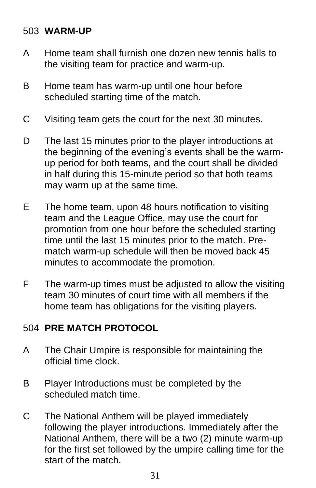#### 503 **WARM-UP**

- A Home team shall furnish one dozen new tennis balls to the visiting team for practice and warm-up.
- B Home team has warm-up until one hour before scheduled starting time of the match.
- C Visiting team gets the court for the next 30 minutes.
- D The last 15 minutes prior to the player introductions at the beginning of the evening's events shall be the warmup period for both teams, and the court shall be divided in half during this 15-minute period so that both teams may warm up at the same time.
- E The home team, upon 48 hours notification to visiting team and the League Office, may use the court for promotion from one hour before the scheduled starting time until the last 15 minutes prior to the match. Prematch warm-up schedule will then be moved back 45 minutes to accommodate the promotion.
- F The warm-up times must be adjusted to allow the visiting team 30 minutes of court time with all members if the home team has obligations for the visiting players.

#### 504 **PRE MATCH PROTOCOL**

- A The Chair Umpire is responsible for maintaining the official time clock.
- B Player Introductions must be completed by the scheduled match time.
- C The National Anthem will be played immediately following the player introductions. Immediately after the National Anthem, there will be a two (2) minute warm-up for the first set followed by the umpire calling time for the start of the match.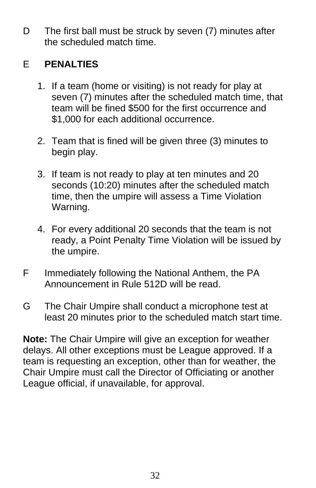D The first ball must be struck by seven (7) minutes after the scheduled match time.

#### E **PENALTIES**

- 1. If a team (home or visiting) is not ready for play at seven (7) minutes after the scheduled match time, that team will be fined \$500 for the first occurrence and \$1,000 for each additional occurrence.
- 2. Team that is fined will be given three (3) minutes to begin play.
- 3. If team is not ready to play at ten minutes and 20 seconds (10:20) minutes after the scheduled match time, then the umpire will assess a Time Violation Warning.
- 4. For every additional 20 seconds that the team is not ready, a Point Penalty Time Violation will be issued by the umpire.
- F Immediately following the National Anthem, the PA Announcement in Rule 512D will be read.
- G The Chair Umpire shall conduct a microphone test at least 20 minutes prior to the scheduled match start time.

**Note:** The Chair Umpire will give an exception for weather delays. All other exceptions must be League approved. If a team is requesting an exception, other than for weather, the Chair Umpire must call the Director of Officiating or another League official, if unavailable, for approval.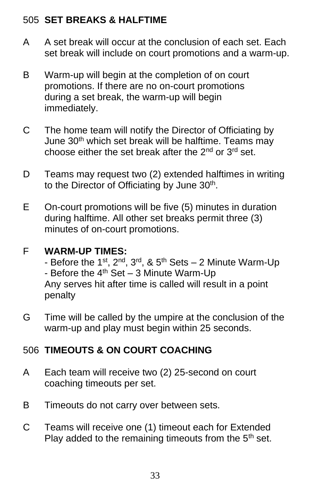#### 505 **SET BREAKS & HALFTIME**

- A A set break will occur at the conclusion of each set. Each set break will include on court promotions and a warm-up.
- B Warm-up will begin at the completion of on court promotions. If there are no on-court promotions during a set break, the warm-up will begin immediately.
- C The home team will notify the Director of Officiating by June 30th which set break will be halftime. Teams may choose either the set break after the  $2<sup>nd</sup>$  or  $3<sup>rd</sup>$  set.
- D Teams may request two (2) extended halftimes in writing to the Director of Officiating by June 30<sup>th</sup>.
- E On-court promotions will be five (5) minutes in duration during halftime. All other set breaks permit three (3) minutes of on-court promotions.

#### F **WARM-UP TIMES:**

- Before the 1<sup>st</sup>, 2<sup>nd</sup>, 3<sup>rd</sup>, & 5<sup>th</sup> Sets – 2 Minute Warm-Up - Before the  $4<sup>th</sup>$  Set – 3 Minute Warm-Up Any serves hit after time is called will result in a point penalty

G Time will be called by the umpire at the conclusion of the warm-up and play must begin within 25 seconds.

#### 506 **TIMEOUTS & ON COURT COACHING**

- A Each team will receive two (2) 25-second on court coaching timeouts per set.
- B Timeouts do not carry over between sets.
- C Teams will receive one (1) timeout each for Extended Play added to the remaining timeouts from the  $5<sup>th</sup>$  set.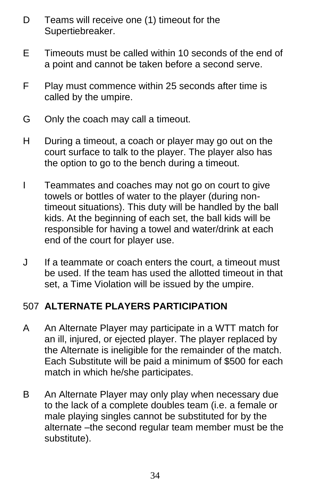- D Teams will receive one (1) timeout for the Supertiebreaker.
- E Timeouts must be called within 10 seconds of the end of a point and cannot be taken before a second serve.
- F Play must commence within 25 seconds after time is called by the umpire.
- G Only the coach may call a timeout.
- H During a timeout, a coach or player may go out on the court surface to talk to the player. The player also has the option to go to the bench during a timeout.
- I Teammates and coaches may not go on court to give towels or bottles of water to the player (during nontimeout situations). This duty will be handled by the ball kids. At the beginning of each set, the ball kids will be responsible for having a towel and water/drink at each end of the court for player use.
- J If a teammate or coach enters the court, a timeout must be used. If the team has used the allotted timeout in that set, a Time Violation will be issued by the umpire.

#### 507 **ALTERNATE PLAYERS PARTICIPATION**

- A An Alternate Player may participate in a WTT match for an ill, injured, or ejected player. The player replaced by the Alternate is ineligible for the remainder of the match. Each Substitute will be paid a minimum of \$500 for each match in which he/she participates.
- B An Alternate Player may only play when necessary due to the lack of a complete doubles team (i.e. a female or male playing singles cannot be substituted for by the alternate –the second regular team member must be the substitute).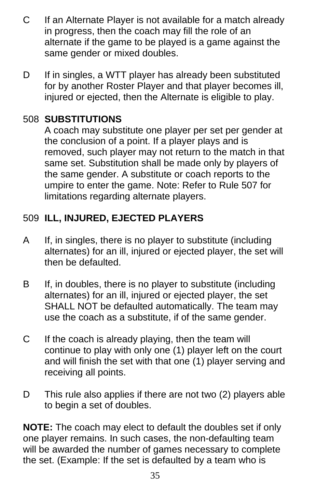- C If an Alternate Player is not available for a match already in progress, then the coach may fill the role of an alternate if the game to be played is a game against the same gender or mixed doubles.
- D If in singles, a WTT player has already been substituted for by another Roster Player and that player becomes ill, injured or ejected, then the Alternate is eligible to play.

#### 508 **SUBSTITUTIONS**

A coach may substitute one player per set per gender at the conclusion of a point. If a player plays and is removed, such player may not return to the match in that same set. Substitution shall be made only by players of the same gender. A substitute or coach reports to the umpire to enter the game. Note: Refer to Rule 507 for limitations regarding alternate players.

#### 509 **ILL, INJURED, EJECTED PLAYERS**

- A If, in singles, there is no player to substitute (including alternates) for an ill, injured or ejected player, the set will then be defaulted.
- B If, in doubles, there is no player to substitute (including alternates) for an ill, injured or ejected player, the set SHALL NOT be defaulted automatically. The team may use the coach as a substitute, if of the same gender.
- C If the coach is already playing, then the team will continue to play with only one (1) player left on the court and will finish the set with that one (1) player serving and receiving all points.
- D This rule also applies if there are not two (2) players able to begin a set of doubles.

**NOTE:** The coach may elect to default the doubles set if only one player remains. In such cases, the non-defaulting team will be awarded the number of games necessary to complete the set. (Example: If the set is defaulted by a team who is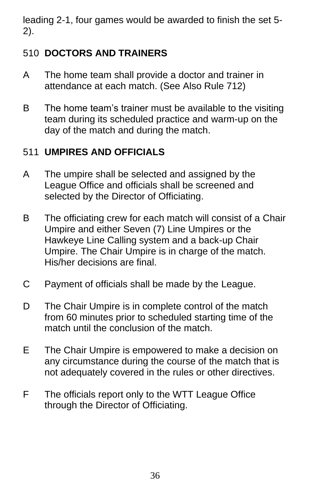leading 2-1, four games would be awarded to finish the set 5- 2).

#### 510 **DOCTORS AND TRAINERS**

- A The home team shall provide a doctor and trainer in attendance at each match. (See Also Rule 712)
- B The home team's trainer must be available to the visiting team during its scheduled practice and warm-up on the day of the match and during the match.

#### 511 **UMPIRES AND OFFICIALS**

- A The umpire shall be selected and assigned by the League Office and officials shall be screened and selected by the Director of Officiating.
- B The officiating crew for each match will consist of a Chair Umpire and either Seven (7) Line Umpires or the Hawkeye Line Calling system and a back-up Chair Umpire. The Chair Umpire is in charge of the match. His/her decisions are final.
- C Payment of officials shall be made by the League.
- D The Chair Umpire is in complete control of the match from 60 minutes prior to scheduled starting time of the match until the conclusion of the match.
- E The Chair Umpire is empowered to make a decision on any circumstance during the course of the match that is not adequately covered in the rules or other directives.
- F The officials report only to the WTT League Office through the Director of Officiating.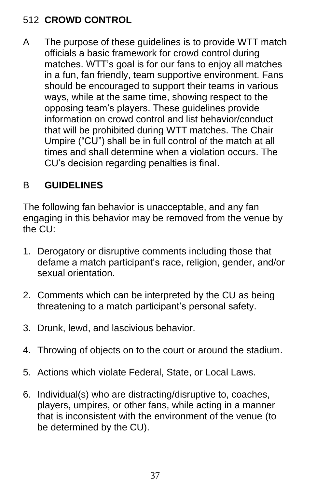# 512 **CROWD CONTROL**

A The purpose of these guidelines is to provide WTT match officials a basic framework for crowd control during matches. WTT's goal is for our fans to enjoy all matches in a fun, fan friendly, team supportive environment. Fans should be encouraged to support their teams in various ways, while at the same time, showing respect to the opposing team's players. These guidelines provide information on crowd control and list behavior/conduct that will be prohibited during WTT matches. The Chair Umpire ("CU") shall be in full control of the match at all times and shall determine when a violation occurs. The CU's decision regarding penalties is final.

# B **GUIDELINES**

The following fan behavior is unacceptable, and any fan engaging in this behavior may be removed from the venue by the CU:

- 1. Derogatory or disruptive comments including those that defame a match participant's race, religion, gender, and/or sexual orientation.
- 2. Comments which can be interpreted by the CU as being threatening to a match participant's personal safety.
- 3. Drunk, lewd, and lascivious behavior.
- 4. Throwing of objects on to the court or around the stadium.
- 5. Actions which violate Federal, State, or Local Laws.
- 6. Individual(s) who are distracting/disruptive to, coaches, players, umpires, or other fans, while acting in a manner that is inconsistent with the environment of the venue (to be determined by the CU).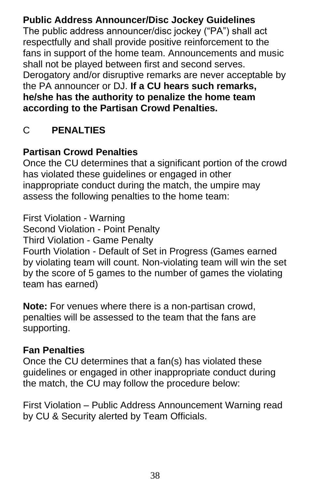# **Public Address Announcer/Disc Jockey Guidelines**

The public address announcer/disc jockey ("PA") shall act respectfully and shall provide positive reinforcement to the fans in support of the home team. Announcements and music shall not be played between first and second serves. Derogatory and/or disruptive remarks are never acceptable by the PA announcer or DJ. **If a CU hears such remarks, he/she has the authority to penalize the home team according to the Partisan Crowd Penalties.**

# C **PENALTIES**

#### **Partisan Crowd Penalties**

Once the CU determines that a significant portion of the crowd has violated these guidelines or engaged in other inappropriate conduct during the match, the umpire may assess the following penalties to the home team:

First Violation - Warning Second Violation - Point Penalty Third Violation - Game Penalty Fourth Violation - Default of Set in Progress (Games earned by violating team will count. Non-violating team will win the set by the score of 5 games to the number of games the violating team has earned)

**Note:** For venues where there is a non-partisan crowd, penalties will be assessed to the team that the fans are supporting.

#### **Fan Penalties**

Once the CU determines that a fan(s) has violated these guidelines or engaged in other inappropriate conduct during the match, the CU may follow the procedure below:

First Violation – Public Address Announcement Warning read by CU & Security alerted by Team Officials.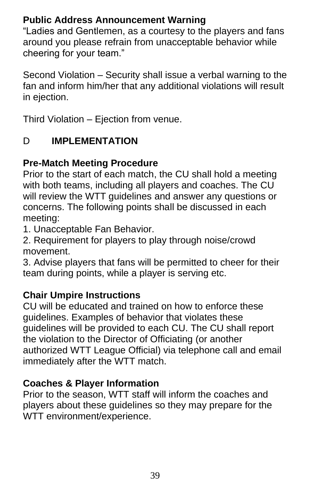## **Public Address Announcement Warning**

"Ladies and Gentlemen, as a courtesy to the players and fans around you please refrain from unacceptable behavior while cheering for your team."

Second Violation – Security shall issue a verbal warning to the fan and inform him/her that any additional violations will result in ejection.

Third Violation – Ejection from venue.

# D **IMPLEMENTATION**

# **Pre-Match Meeting Procedure**

Prior to the start of each match, the CU shall hold a meeting with both teams, including all players and coaches. The CU will review the WTT guidelines and answer any questions or concerns. The following points shall be discussed in each meeting:

1. Unacceptable Fan Behavior.

2. Requirement for players to play through noise/crowd movement.

3. Advise players that fans will be permitted to cheer for their team during points, while a player is serving etc.

# **Chair Umpire Instructions**

CU will be educated and trained on how to enforce these guidelines. Examples of behavior that violates these guidelines will be provided to each CU. The CU shall report the violation to the Director of Officiating (or another authorized WTT League Official) via telephone call and email immediately after the WTT match.

# **Coaches & Player Information**

Prior to the season, WTT staff will inform the coaches and players about these guidelines so they may prepare for the WTT environment/experience.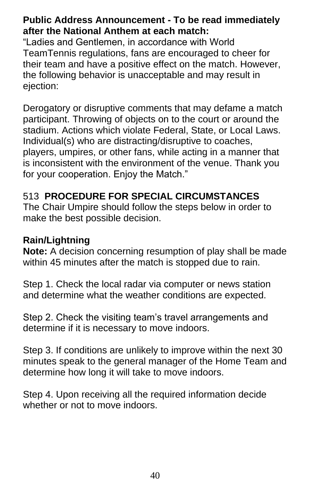#### **Public Address Announcement - To be read immediately after the National Anthem at each match:**

"Ladies and Gentlemen, in accordance with World TeamTennis regulations, fans are encouraged to cheer for their team and have a positive effect on the match. However, the following behavior is unacceptable and may result in ejection:

Derogatory or disruptive comments that may defame a match participant. Throwing of objects on to the court or around the stadium. Actions which violate Federal, State, or Local Laws. Individual(s) who are distracting/disruptive to coaches, players, umpires, or other fans, while acting in a manner that is inconsistent with the environment of the venue. Thank you for your cooperation. Enjoy the Match."

#### 513 **PROCEDURE FOR SPECIAL CIRCUMSTANCES**

The Chair Umpire should follow the steps below in order to make the best possible decision.

#### **Rain/Lightning**

**Note:** A decision concerning resumption of play shall be made within 45 minutes after the match is stopped due to rain.

Step 1. Check the local radar via computer or news station and determine what the weather conditions are expected.

Step 2. Check the visiting team's travel arrangements and determine if it is necessary to move indoors.

Step 3. If conditions are unlikely to improve within the next 30 minutes speak to the general manager of the Home Team and determine how long it will take to move indoors.

Step 4. Upon receiving all the required information decide whether or not to move indoors.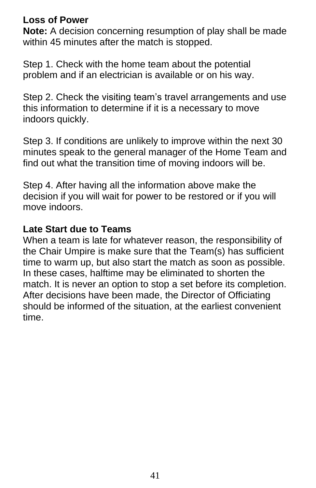#### **Loss of Power**

**Note:** A decision concerning resumption of play shall be made within 45 minutes after the match is stopped.

Step 1. Check with the home team about the potential problem and if an electrician is available or on his way.

Step 2. Check the visiting team's travel arrangements and use this information to determine if it is a necessary to move indoors quickly.

Step 3. If conditions are unlikely to improve within the next 30 minutes speak to the general manager of the Home Team and find out what the transition time of moving indoors will be.

Step 4. After having all the information above make the decision if you will wait for power to be restored or if you will move indoors.

#### **Late Start due to Teams**

When a team is late for whatever reason, the responsibility of the Chair Umpire is make sure that the Team(s) has sufficient time to warm up, but also start the match as soon as possible. In these cases, halftime may be eliminated to shorten the match. It is never an option to stop a set before its completion. After decisions have been made, the Director of Officiating should be informed of the situation, at the earliest convenient time.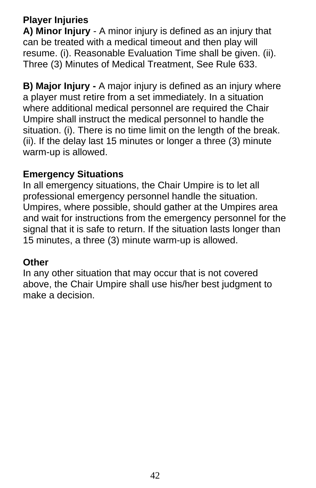# **Player Injuries**

**A) Minor Injury** - A minor injury is defined as an injury that can be treated with a medical timeout and then play will resume. (i). Reasonable Evaluation Time shall be given. (ii). Three (3) Minutes of Medical Treatment, See Rule 633.

**B) Major Injury -** A major injury is defined as an injury where a player must retire from a set immediately. In a situation where additional medical personnel are required the Chair Umpire shall instruct the medical personnel to handle the situation. (i). There is no time limit on the length of the break. (ii). If the delay last 15 minutes or longer a three (3) minute warm-up is allowed.

#### **Emergency Situations**

In all emergency situations, the Chair Umpire is to let all professional emergency personnel handle the situation. Umpires, where possible, should gather at the Umpires area and wait for instructions from the emergency personnel for the signal that it is safe to return. If the situation lasts longer than 15 minutes, a three (3) minute warm-up is allowed.

## **Other**

In any other situation that may occur that is not covered above, the Chair Umpire shall use his/her best judgment to make a decision.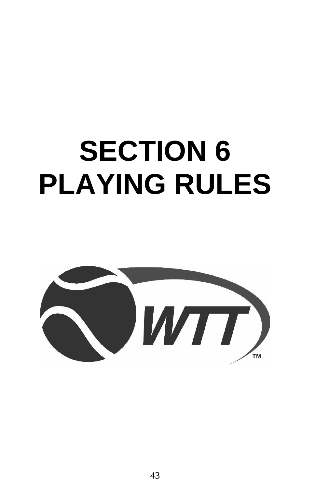# **SECTION 6 PLAYING RULES**

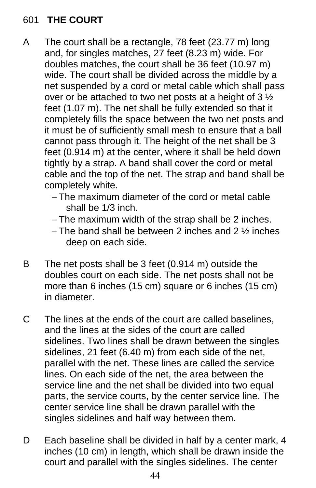## 601 **THE COURT**

- A The court shall be a rectangle, 78 feet (23.77 m) long and, for singles matches, 27 feet (8.23 m) wide. For doubles matches, the court shall be 36 feet (10.97 m) wide. The court shall be divided across the middle by a net suspended by a cord or metal cable which shall pass over or be attached to two net posts at a height of 3 ½ feet (1.07 m). The net shall be fully extended so that it completely fills the space between the two net posts and it must be of sufficiently small mesh to ensure that a ball cannot pass through it. The height of the net shall be 3 feet (0.914 m) at the center, where it shall be held down tightly by a strap. A band shall cover the cord or metal cable and the top of the net. The strap and band shall be completely white.
	- − The maximum diameter of the cord or metal cable shall be 1/3 inch.
	- − The maximum width of the strap shall be 2 inches.
	- − The band shall be between 2 inches and 2 ½ inches deep on each side.
- B The net posts shall be 3 feet (0.914 m) outside the doubles court on each side. The net posts shall not be more than 6 inches (15 cm) square or 6 inches (15 cm) in diameter.
- C The lines at the ends of the court are called baselines, and the lines at the sides of the court are called sidelines. Two lines shall be drawn between the singles sidelines, 21 feet (6.40 m) from each side of the net, parallel with the net. These lines are called the service lines. On each side of the net, the area between the service line and the net shall be divided into two equal parts, the service courts, by the center service line. The center service line shall be drawn parallel with the singles sidelines and half way between them.
- D Each baseline shall be divided in half by a center mark, 4 inches (10 cm) in length, which shall be drawn inside the court and parallel with the singles sidelines. The center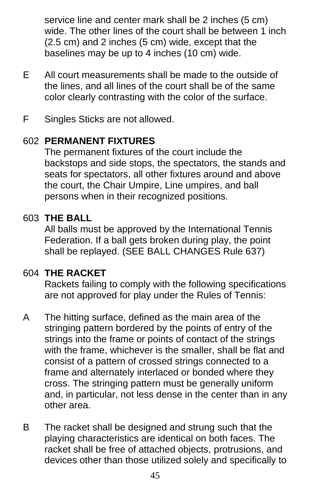service line and center mark shall be 2 inches (5 cm) wide. The other lines of the court shall be between 1 inch (2.5 cm) and 2 inches (5 cm) wide, except that the baselines may be up to 4 inches (10 cm) wide.

- E All court measurements shall be made to the outside of the lines, and all lines of the court shall be of the same color clearly contrasting with the color of the surface.
- F Singles Sticks are not allowed.

# 602 **PERMANENT FIXTURES**

The permanent fixtures of the court include the backstops and side stops, the spectators, the stands and seats for spectators, all other fixtures around and above the court, the Chair Umpire, Line umpires, and ball persons when in their recognized positions.

# 603 **THE BALL**

All balls must be approved by the International Tennis Federation. If a ball gets broken during play, the point shall be replayed. (SEE BALL CHANGES Rule 637)

# 604 **THE RACKET**

Rackets failing to comply with the following specifications are not approved for play under the Rules of Tennis:

- A The hitting surface, defined as the main area of the stringing pattern bordered by the points of entry of the strings into the frame or points of contact of the strings with the frame, whichever is the smaller, shall be flat and consist of a pattern of crossed strings connected to a frame and alternately interlaced or bonded where they cross. The stringing pattern must be generally uniform and, in particular, not less dense in the center than in any other area.
- B The racket shall be designed and strung such that the playing characteristics are identical on both faces. The racket shall be free of attached objects, protrusions, and devices other than those utilized solely and specifically to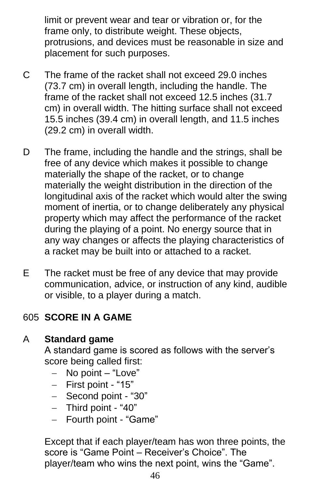limit or prevent wear and tear or vibration or, for the frame only, to distribute weight. These objects, protrusions, and devices must be reasonable in size and placement for such purposes.

- C The frame of the racket shall not exceed 29.0 inches (73.7 cm) in overall length, including the handle. The frame of the racket shall not exceed 12.5 inches (31.7 cm) in overall width. The hitting surface shall not exceed 15.5 inches (39.4 cm) in overall length, and 11.5 inches (29.2 cm) in overall width.
- D The frame, including the handle and the strings, shall be free of any device which makes it possible to change materially the shape of the racket, or to change materially the weight distribution in the direction of the longitudinal axis of the racket which would alter the swing moment of inertia, or to change deliberately any physical property which may affect the performance of the racket during the playing of a point. No energy source that in any way changes or affects the playing characteristics of a racket may be built into or attached to a racket.
- E The racket must be free of any device that may provide communication, advice, or instruction of any kind, audible or visible, to a player during a match.

# 605 **SCORE IN A GAME**

## A **Standard game**

A standard game is scored as follows with the server's score being called first:

- − No point "Love"
- − First point "15"
- − Second point "30"
- − Third point "40"
- − Fourth point "Game"

Except that if each player/team has won three points, the score is "Game Point – Receiver's Choice". The player/team who wins the next point, wins the "Game".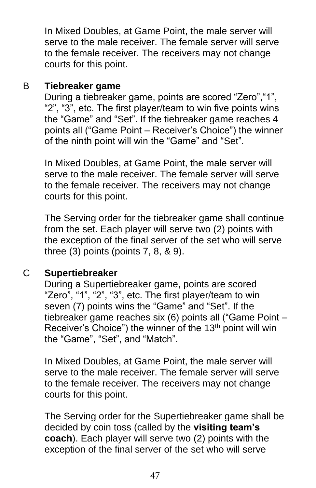In Mixed Doubles, at Game Point, the male server will serve to the male receiver. The female server will serve to the female receiver. The receivers may not change courts for this point.

#### B **Tiebreaker game**

During a tiebreaker game, points are scored "Zero","1", "2", "3", etc. The first player/team to win five points wins the "Game" and "Set". If the tiebreaker game reaches 4 points all ("Game Point – Receiver's Choice") the winner of the ninth point will win the "Game" and "Set".

In Mixed Doubles, at Game Point, the male server will serve to the male receiver. The female server will serve to the female receiver. The receivers may not change courts for this point.

The Serving order for the tiebreaker game shall continue from the set. Each player will serve two (2) points with the exception of the final server of the set who will serve three (3) points (points 7, 8, & 9).

## C **Supertiebreaker**

During a Supertiebreaker game, points are scored "Zero", "1", "2", "3", etc. The first player/team to win seven (7) points wins the "Game" and "Set". If the tiebreaker game reaches six (6) points all ("Game Point – Receiver's Choice") the winner of the 13<sup>th</sup> point will win the "Game", "Set", and "Match".

In Mixed Doubles, at Game Point, the male server will serve to the male receiver. The female server will serve to the female receiver. The receivers may not change courts for this point.

The Serving order for the Supertiebreaker game shall be decided by coin toss (called by the **visiting team's coach**). Each player will serve two (2) points with the exception of the final server of the set who will serve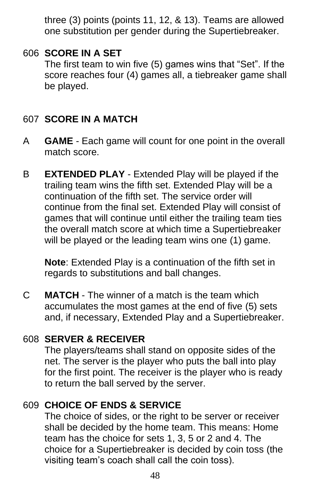three (3) points (points 11, 12, & 13). Teams are allowed one substitution per gender during the Supertiebreaker.

#### 606 **SCORE IN A SET**

The first team to win five (5) games wins that "Set". If the score reaches four (4) games all, a tiebreaker game shall be played.

# 607 **SCORE IN A MATCH**

- A **GAME** Each game will count for one point in the overall match score.
- B **EXTENDED PLAY** Extended Play will be played if the trailing team wins the fifth set. Extended Play will be a continuation of the fifth set. The service order will continue from the final set. Extended Play will consist of games that will continue until either the trailing team ties the overall match score at which time a Supertiebreaker will be played or the leading team wins one (1) game.

**Note**: Extended Play is a continuation of the fifth set in regards to substitutions and ball changes.

C **MATCH** - The winner of a match is the team which accumulates the most games at the end of five (5) sets and, if necessary, Extended Play and a Supertiebreaker.

## 608 **SERVER & RECEIVER**

The players/teams shall stand on opposite sides of the net. The server is the player who puts the ball into play for the first point. The receiver is the player who is ready to return the ball served by the server.

## 609 **CHOICE OF ENDS & SERVICE**

The choice of sides, or the right to be server or receiver shall be decided by the home team. This means: Home team has the choice for sets 1, 3, 5 or 2 and 4. The choice for a Supertiebreaker is decided by coin toss (the visiting team's coach shall call the coin toss).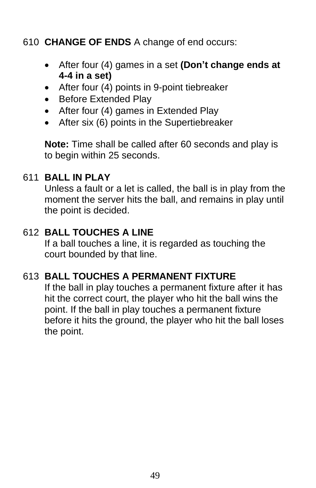610 **CHANGE OF ENDS** A change of end occurs:

- After four (4) games in a set **(Don't change ends at 4-4 in a set)**
- After four (4) points in 9-point tiebreaker
- Before Extended Play
- After four (4) games in Extended Play
- After six (6) points in the Supertiebreaker

**Note:** Time shall be called after 60 seconds and play is to begin within 25 seconds.

#### 611 **BALL IN PLAY**

Unless a fault or a let is called, the ball is in play from the moment the server hits the ball, and remains in play until the point is decided.

#### 612 **BALL TOUCHES A LINE**

If a ball touches a line, it is regarded as touching the court bounded by that line.

## 613 **BALL TOUCHES A PERMANENT FIXTURE**

If the ball in play touches a permanent fixture after it has hit the correct court, the player who hit the ball wins the point. If the ball in play touches a permanent fixture before it hits the ground, the player who hit the ball loses the point.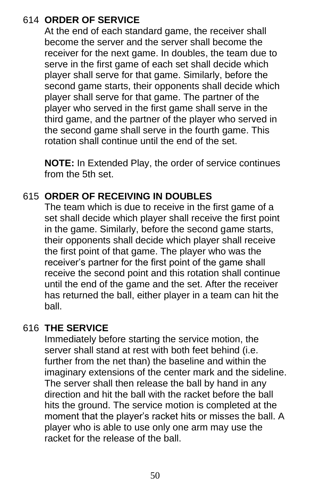## 614 **ORDER OF SERVICE**

At the end of each standard game, the receiver shall become the server and the server shall become the receiver for the next game. In doubles, the team due to serve in the first game of each set shall decide which player shall serve for that game. Similarly, before the second game starts, their opponents shall decide which player shall serve for that game. The partner of the player who served in the first game shall serve in the third game, and the partner of the player who served in the second game shall serve in the fourth game. This rotation shall continue until the end of the set.

**NOTE:** In Extended Play, the order of service continues from the 5th set.

## 615 **ORDER OF RECEIVING IN DOUBLES**

The team which is due to receive in the first game of a set shall decide which player shall receive the first point in the game. Similarly, before the second game starts, their opponents shall decide which player shall receive the first point of that game. The player who was the receiver's partner for the first point of the game shall receive the second point and this rotation shall continue until the end of the game and the set. After the receiver has returned the ball, either player in a team can hit the ball.

## 616 **THE SERVICE**

Immediately before starting the service motion, the server shall stand at rest with both feet behind (i.e. further from the net than) the baseline and within the imaginary extensions of the center mark and the sideline. The server shall then release the ball by hand in any direction and hit the ball with the racket before the ball hits the ground. The service motion is completed at the moment that the player's racket hits or misses the ball. A player who is able to use only one arm may use the racket for the release of the ball.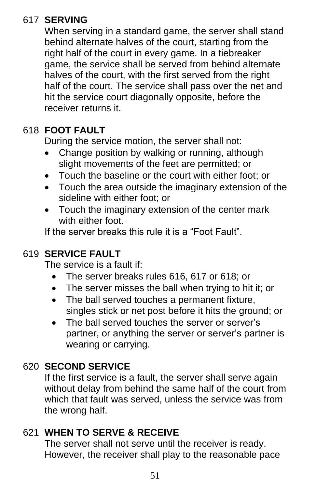# 617 **SERVING**

When serving in a standard game, the server shall stand behind alternate halves of the court, starting from the right half of the court in every game. In a tiebreaker game, the service shall be served from behind alternate halves of the court, with the first served from the right half of the court. The service shall pass over the net and hit the service court diagonally opposite, before the receiver returns it.

# 618 **FOOT FAULT**

During the service motion, the server shall not:

- Change position by walking or running, although slight movements of the feet are permitted; or
- Touch the baseline or the court with either foot; or
- Touch the area outside the imaginary extension of the sideline with either foot; or
- Touch the imaginary extension of the center mark with either foot.

If the server breaks this rule it is a "Foot Fault".

# 619 **SERVICE FAULT**

The service is a fault if:

- The server breaks rules 616, 617 or 618; or
- The server misses the ball when trying to hit it; or
- The ball served touches a permanent fixture, singles stick or net post before it hits the ground; or
- The ball served touches the server or server's partner, or anything the server or server's partner is wearing or carrying.

# 620 **SECOND SERVICE**

If the first service is a fault, the server shall serve again without delay from behind the same half of the court from which that fault was served, unless the service was from the wrong half.

# 621 **WHEN TO SERVE & RECEIVE**

The server shall not serve until the receiver is ready. However, the receiver shall play to the reasonable pace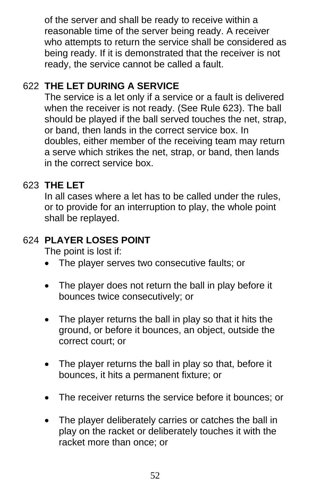of the server and shall be ready to receive within a reasonable time of the server being ready. A receiver who attempts to return the service shall be considered as being ready. If it is demonstrated that the receiver is not ready, the service cannot be called a fault.

# 622 **THE LET DURING A SERVICE**

The service is a let only if a service or a fault is delivered when the receiver is not ready. (See Rule 623). The ball should be played if the ball served touches the net, strap, or band, then lands in the correct service box. In doubles, either member of the receiving team may return a serve which strikes the net, strap, or band, then lands in the correct service box.

# 623 **THE LET**

In all cases where a let has to be called under the rules, or to provide for an interruption to play, the whole point shall be replayed.

## 624 **PLAYER LOSES POINT**

The point is lost if:

- The player serves two consecutive faults; or
- The player does not return the ball in play before it bounces twice consecutively; or
- The player returns the ball in play so that it hits the ground, or before it bounces, an object, outside the correct court; or
- The player returns the ball in play so that, before it bounces, it hits a permanent fixture; or
- The receiver returns the service before it bounces; or
- The player deliberately carries or catches the ball in play on the racket or deliberately touches it with the racket more than once; or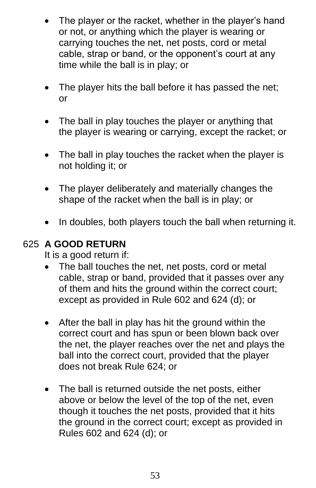- The player or the racket, whether in the player's hand or not, or anything which the player is wearing or carrying touches the net, net posts, cord or metal cable, strap or band, or the opponent's court at any time while the ball is in play; or
- The player hits the ball before it has passed the net; or
- The ball in play touches the player or anything that the player is wearing or carrying, except the racket; or
- The ball in play touches the racket when the player is not holding it; or
- The player deliberately and materially changes the shape of the racket when the ball is in play; or
- In doubles, both players touch the ball when returning it.

## 625 **A GOOD RETURN**

It is a good return if:

- The ball touches the net, net posts, cord or metal cable, strap or band, provided that it passes over any of them and hits the ground within the correct court; except as provided in Rule 602 and 624 (d); or
- After the ball in play has hit the ground within the correct court and has spun or been blown back over the net, the player reaches over the net and plays the ball into the correct court, provided that the player does not break Rule 624; or
- The ball is returned outside the net posts, either above or below the level of the top of the net, even though it touches the net posts, provided that it hits the ground in the correct court; except as provided in Rules 602 and 624 (d); or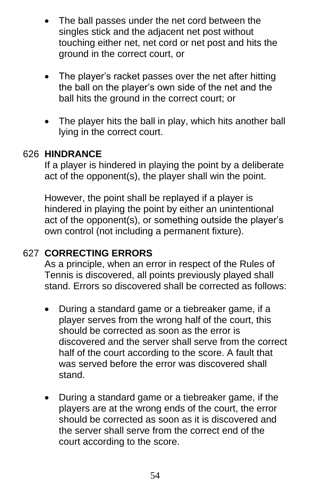- The ball passes under the net cord between the singles stick and the adjacent net post without touching either net, net cord or net post and hits the ground in the correct court, or
- The player's racket passes over the net after hitting the ball on the player's own side of the net and the ball hits the ground in the correct court; or
- The player hits the ball in play, which hits another ball lying in the correct court.

#### 626 **HINDRANCE**

If a player is hindered in playing the point by a deliberate act of the opponent(s), the player shall win the point.

However, the point shall be replayed if a player is hindered in playing the point by either an unintentional act of the opponent(s), or something outside the player's own control (not including a permanent fixture).

#### 627 **CORRECTING ERRORS**

As a principle, when an error in respect of the Rules of Tennis is discovered, all points previously played shall stand. Errors so discovered shall be corrected as follows:

- During a standard game or a tiebreaker game, if a player serves from the wrong half of the court, this should be corrected as soon as the error is discovered and the server shall serve from the correct half of the court according to the score. A fault that was served before the error was discovered shall stand.
- During a standard game or a tiebreaker game, if the players are at the wrong ends of the court, the error should be corrected as soon as it is discovered and the server shall serve from the correct end of the court according to the score.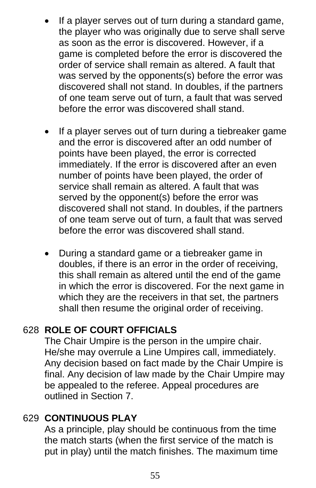- If a player serves out of turn during a standard game, the player who was originally due to serve shall serve as soon as the error is discovered. However, if a game is completed before the error is discovered the order of service shall remain as altered. A fault that was served by the opponents(s) before the error was discovered shall not stand. In doubles, if the partners of one team serve out of turn, a fault that was served before the error was discovered shall stand.
- If a player serves out of turn during a tiebreaker game and the error is discovered after an odd number of points have been played, the error is corrected immediately. If the error is discovered after an even number of points have been played, the order of service shall remain as altered. A fault that was served by the opponent(s) before the error was discovered shall not stand. In doubles, if the partners of one team serve out of turn, a fault that was served before the error was discovered shall stand.
- During a standard game or a tiebreaker game in doubles, if there is an error in the order of receiving, this shall remain as altered until the end of the game in which the error is discovered. For the next game in which they are the receivers in that set, the partners shall then resume the original order of receiving.

#### 628 **ROLE OF COURT OFFICIALS**

The Chair Umpire is the person in the umpire chair. He/she may overrule a Line Umpires call, immediately. Any decision based on fact made by the Chair Umpire is final. Any decision of law made by the Chair Umpire may be appealed to the referee. Appeal procedures are outlined in Section 7.

#### 629 **CONTINUOUS PLAY**

As a principle, play should be continuous from the time the match starts (when the first service of the match is put in play) until the match finishes. The maximum time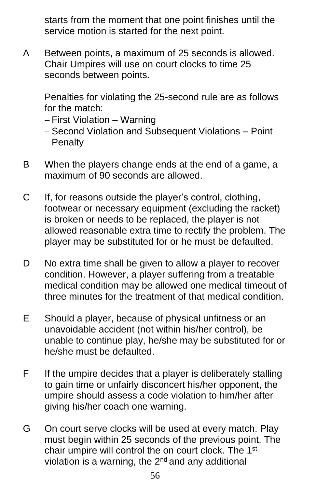starts from the moment that one point finishes until the service motion is started for the next point.

A Between points, a maximum of 25 seconds is allowed. Chair Umpires will use on court clocks to time 25 seconds between points.

Penalties for violating the 25-second rule are as follows for the match:

- − First Violation Warning
- − Second Violation and Subsequent Violations Point Penalty
- B When the players change ends at the end of a game, a maximum of 90 seconds are allowed.
- C If, for reasons outside the player's control, clothing, footwear or necessary equipment (excluding the racket) is broken or needs to be replaced, the player is not allowed reasonable extra time to rectify the problem. The player may be substituted for or he must be defaulted.
- D No extra time shall be given to allow a player to recover condition. However, a player suffering from a treatable medical condition may be allowed one medical timeout of three minutes for the treatment of that medical condition.
- E Should a player, because of physical unfitness or an unavoidable accident (not within his/her control), be unable to continue play, he/she may be substituted for or he/she must be defaulted.
- F If the umpire decides that a player is deliberately stalling to gain time or unfairly disconcert his/her opponent, the umpire should assess a code violation to him/her after giving his/her coach one warning.
- G On court serve clocks will be used at every match. Play must begin within 25 seconds of the previous point. The chair umpire will control the on court clock. The 1<sup>st</sup> violation is a warning, the  $2<sup>nd</sup>$  and any additional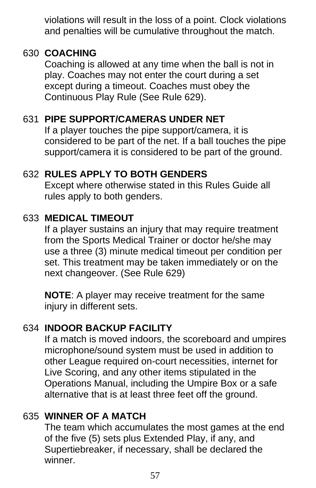violations will result in the loss of a point. Clock violations and penalties will be cumulative throughout the match.

#### 630 **COACHING**

Coaching is allowed at any time when the ball is not in play. Coaches may not enter the court during a set except during a timeout. Coaches must obey the Continuous Play Rule (See Rule 629).

## 631 **PIPE SUPPORT/CAMERAS UNDER NET**

If a player touches the pipe support/camera, it is considered to be part of the net. If a ball touches the pipe support/camera it is considered to be part of the ground.

## 632 **RULES APPLY TO BOTH GENDERS**

Except where otherwise stated in this Rules Guide all rules apply to both genders.

#### 633 **MEDICAL TIMEOUT**

If a player sustains an injury that may require treatment from the Sports Medical Trainer or doctor he/she may use a three (3) minute medical timeout per condition per set. This treatment may be taken immediately or on the next changeover. (See Rule 629)

**NOTE**: A player may receive treatment for the same injury in different sets.

# 634 **INDOOR BACKUP FACILITY**

If a match is moved indoors, the scoreboard and umpires microphone/sound system must be used in addition to other League required on-court necessities, internet for Live Scoring, and any other items stipulated in the Operations Manual, including the Umpire Box or a safe alternative that is at least three feet off the ground.

# 635 **WINNER OF A MATCH**

The team which accumulates the most games at the end of the five (5) sets plus Extended Play, if any, and Supertiebreaker, if necessary, shall be declared the winner.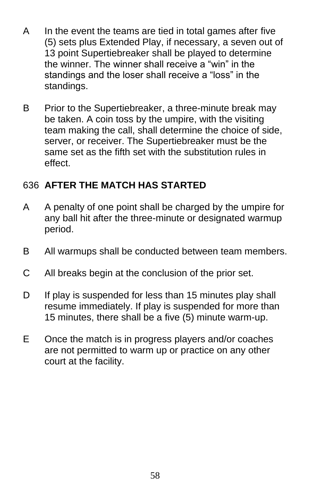- A In the event the teams are tied in total games after five (5) sets plus Extended Play, if necessary, a seven out of 13 point Supertiebreaker shall be played to determine the winner. The winner shall receive a "win" in the standings and the loser shall receive a "loss" in the standings.
- B Prior to the Supertiebreaker, a three-minute break may be taken. A coin toss by the umpire, with the visiting team making the call, shall determine the choice of side, server, or receiver. The Supertiebreaker must be the same set as the fifth set with the substitution rules in effect.

#### 636 **AFTER THE MATCH HAS STARTED**

- A A penalty of one point shall be charged by the umpire for any ball hit after the three-minute or designated warmup period.
- B All warmups shall be conducted between team members.
- C All breaks begin at the conclusion of the prior set.
- D If play is suspended for less than 15 minutes play shall resume immediately. If play is suspended for more than 15 minutes, there shall be a five (5) minute warm-up.
- E Once the match is in progress players and/or coaches are not permitted to warm up or practice on any other court at the facility.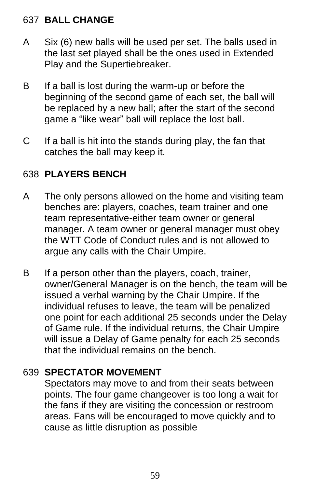## 637 **BALL CHANGE**

- A Six (6) new balls will be used per set. The balls used in the last set played shall be the ones used in Extended Play and the Supertiebreaker.
- B If a ball is lost during the warm-up or before the beginning of the second game of each set, the ball will be replaced by a new ball; after the start of the second game a "like wear" ball will replace the lost ball.
- C If a ball is hit into the stands during play, the fan that catches the ball may keep it.

## 638 **PLAYERS BENCH**

- A The only persons allowed on the home and visiting team benches are: players, coaches, team trainer and one team representative-either team owner or general manager. A team owner or general manager must obey the WTT Code of Conduct rules and is not allowed to argue any calls with the Chair Umpire.
- B If a person other than the players, coach, trainer, owner/General Manager is on the bench, the team will be issued a verbal warning by the Chair Umpire. If the individual refuses to leave, the team will be penalized one point for each additional 25 seconds under the Delay of Game rule. If the individual returns, the Chair Umpire will issue a Delay of Game penalty for each 25 seconds that the individual remains on the bench.

## 639 **SPECTATOR MOVEMENT**

Spectators may move to and from their seats between points. The four game changeover is too long a wait for the fans if they are visiting the concession or restroom areas. Fans will be encouraged to move quickly and to cause as little disruption as possible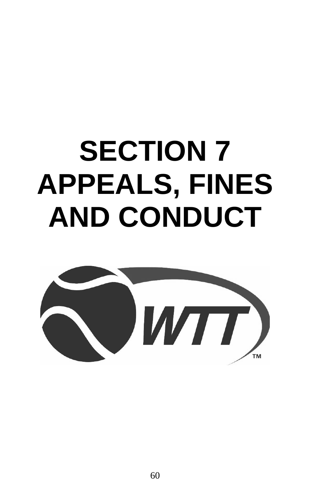# **SECTION 7 APPEALS, FINES AND CONDUCT**

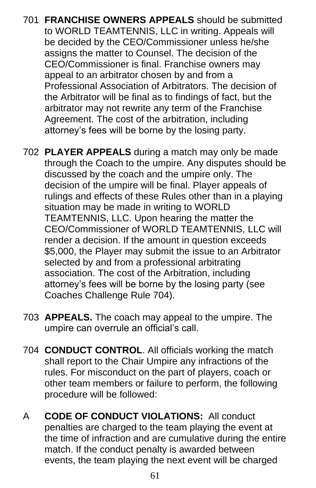- 701 **FRANCHISE OWNERS APPEALS** should be submitted to WORLD TEAMTENNIS, LLC in writing. Appeals will be decided by the CEO/Commissioner unless he/she assigns the matter to Counsel. The decision of the CEO/Commissioner is final. Franchise owners may appeal to an arbitrator chosen by and from a Professional Association of Arbitrators. The decision of the Arbitrator will be final as to findings of fact, but the arbitrator may not rewrite any term of the Franchise Agreement. The cost of the arbitration, including attorney's fees will be borne by the losing party.
- 702 **PLAYER APPEALS** during a match may only be made through the Coach to the umpire. Any disputes should be discussed by the coach and the umpire only. The decision of the umpire will be final. Player appeals of rulings and effects of these Rules other than in a playing situation may be made in writing to WORLD TEAMTENNIS, LLC. Upon hearing the matter the CEO/Commissioner of WORLD TEAMTENNIS, LLC will render a decision. If the amount in question exceeds \$5,000, the Player may submit the issue to an Arbitrator selected by and from a professional arbitrating association. The cost of the Arbitration, including attorney's fees will be borne by the losing party (see Coaches Challenge Rule 704).
- 703 **APPEALS.** The coach may appeal to the umpire. The umpire can overrule an official's call.
- 704 **CONDUCT CONTROL**. All officials working the match shall report to the Chair Umpire any infractions of the rules. For misconduct on the part of players, coach or other team members or failure to perform, the following procedure will be followed:
- A **CODE OF CONDUCT VIOLATIONS:** All conduct penalties are charged to the team playing the event at the time of infraction and are cumulative during the entire match. If the conduct penalty is awarded between events, the team playing the next event will be charged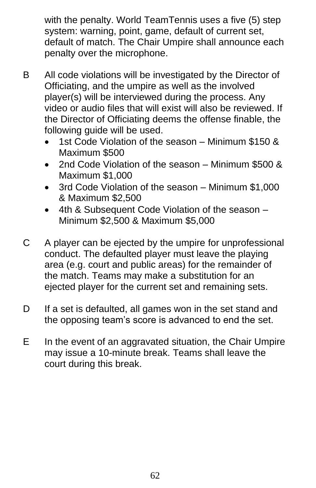with the penalty. World TeamTennis uses a five (5) step system: warning, point, game, default of current set, default of match. The Chair Umpire shall announce each penalty over the microphone.

- B All code violations will be investigated by the Director of Officiating, and the umpire as well as the involved player(s) will be interviewed during the process. Any video or audio files that will exist will also be reviewed. If the Director of Officiating deems the offense finable, the following guide will be used.
	- 1st Code Violation of the season Minimum \$150 & Maximum \$500
	- 2nd Code Violation of the season Minimum \$500 & Maximum \$1,000
	- 3rd Code Violation of the season Minimum \$1,000 & Maximum \$2,500
	- 4th & Subsequent Code Violation of the season -Minimum \$2,500 & Maximum \$5,000
- C A player can be ejected by the umpire for unprofessional conduct. The defaulted player must leave the playing area (e.g. court and public areas) for the remainder of the match. Teams may make a substitution for an ejected player for the current set and remaining sets.
- D If a set is defaulted, all games won in the set stand and the opposing team's score is advanced to end the set.
- E In the event of an aggravated situation, the Chair Umpire may issue a 10-minute break. Teams shall leave the court during this break.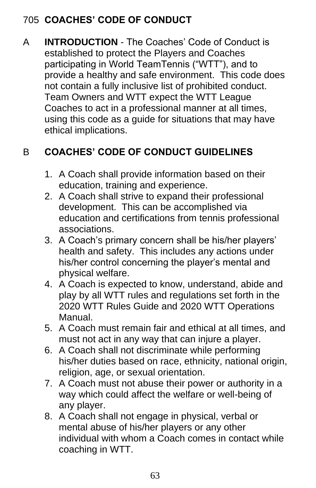# 705 **COACHES' CODE OF CONDUCT**

A **INTRODUCTION** - The Coaches' Code of Conduct is established to protect the Players and Coaches participating in World TeamTennis ("WTT"), and to provide a healthy and safe environment. This code does not contain a fully inclusive list of prohibited conduct. Team Owners and WTT expect the WTT League Coaches to act in a professional manner at all times, using this code as a guide for situations that may have ethical implications.

# B **COACHES' CODE OF CONDUCT GUIDELINES**

- 1. A Coach shall provide information based on their education, training and experience.
- 2. A Coach shall strive to expand their professional development. This can be accomplished via education and certifications from tennis professional associations.
- 3. A Coach's primary concern shall be his/her players' health and safety. This includes any actions under his/her control concerning the player's mental and physical welfare.
- 4. A Coach is expected to know, understand, abide and play by all WTT rules and regulations set forth in the 2020 WTT Rules Guide and 2020 WTT Operations Manual.
- 5. A Coach must remain fair and ethical at all times, and must not act in any way that can injure a player.
- 6. A Coach shall not discriminate while performing his/her duties based on race, ethnicity, national origin, religion, age, or sexual orientation.
- 7. A Coach must not abuse their power or authority in a way which could affect the welfare or well-being of any player.
- 8. A Coach shall not engage in physical, verbal or mental abuse of his/her players or any other individual with whom a Coach comes in contact while coaching in WTT.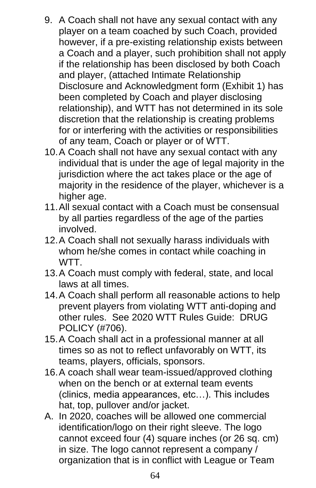- 9. A Coach shall not have any sexual contact with any player on a team coached by such Coach, provided however, if a pre-existing relationship exists between a Coach and a player, such prohibition shall not apply if the relationship has been disclosed by both Coach and player, (attached Intimate Relationship Disclosure and Acknowledgment form (Exhibit 1) has been completed by Coach and player disclosing relationship), and WTT has not determined in its sole discretion that the relationship is creating problems for or interfering with the activities or responsibilities of any team, Coach or player or of WTT.
- 10.A Coach shall not have any sexual contact with any individual that is under the age of legal majority in the jurisdiction where the act takes place or the age of majority in the residence of the player, whichever is a higher age.
- 11.All sexual contact with a Coach must be consensual by all parties regardless of the age of the parties involved.
- 12.A Coach shall not sexually harass individuals with whom he/she comes in contact while coaching in WTT.
- 13.A Coach must comply with federal, state, and local laws at all times.
- 14.A Coach shall perform all reasonable actions to help prevent players from violating WTT anti-doping and other rules. See 2020 WTT Rules Guide: DRUG POLICY (#706).
- 15.A Coach shall act in a professional manner at all times so as not to reflect unfavorably on WTT, its teams, players, officials, sponsors.
- 16.A coach shall wear team-issued/approved clothing when on the bench or at external team events (clinics, media appearances, etc…). This includes hat, top, pullover and/or jacket.
- A. In 2020, coaches will be allowed one commercial identification/logo on their right sleeve. The logo cannot exceed four (4) square inches (or 26 sq. cm) in size. The logo cannot represent a company / organization that is in conflict with League or Team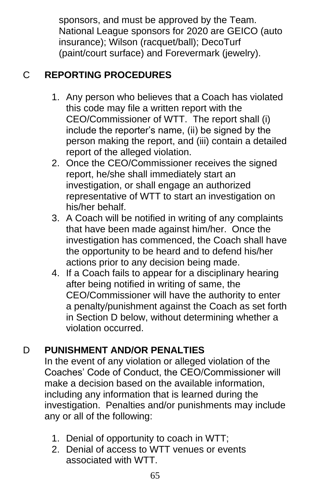sponsors, and must be approved by the Team. National League sponsors for 2020 are GEICO (auto insurance); Wilson (racquet/ball); DecoTurf (paint/court surface) and Forevermark (jewelry).

# C **REPORTING PROCEDURES**

- 1. Any person who believes that a Coach has violated this code may file a written report with the CEO/Commissioner of WTT. The report shall (i) include the reporter's name, (ii) be signed by the person making the report, and (iii) contain a detailed report of the alleged violation.
- 2. Once the CEO/Commissioner receives the signed report, he/she shall immediately start an investigation, or shall engage an authorized representative of WTT to start an investigation on his/her behalf.
- 3. A Coach will be notified in writing of any complaints that have been made against him/her. Once the investigation has commenced, the Coach shall have the opportunity to be heard and to defend his/her actions prior to any decision being made.
- 4. If a Coach fails to appear for a disciplinary hearing after being notified in writing of same, the CEO/Commissioner will have the authority to enter a penalty/punishment against the Coach as set forth in Section D below, without determining whether a violation occurred.

# D **PUNISHMENT AND/OR PENALTIES**

In the event of any violation or alleged violation of the Coaches' Code of Conduct, the CEO/Commissioner will make a decision based on the available information, including any information that is learned during the investigation. Penalties and/or punishments may include any or all of the following:

- 1. Denial of opportunity to coach in WTT;
- 2. Denial of access to WTT venues or events associated with WTT.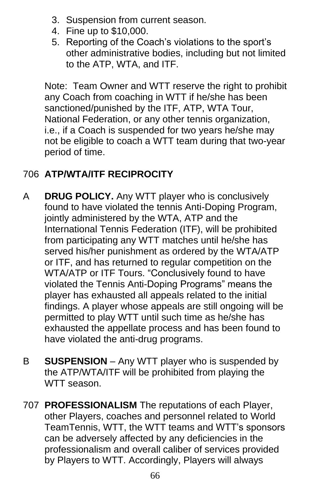- 3. Suspension from current season.
- 4. Fine up to \$10,000.
- 5. Reporting of the Coach's violations to the sport's other administrative bodies, including but not limited to the ATP, WTA, and ITF.

Note: Team Owner and WTT reserve the right to prohibit any Coach from coaching in WTT if he/she has been sanctioned/punished by the ITF, ATP, WTA Tour, National Federation, or any other tennis organization, i.e., if a Coach is suspended for two years he/she may not be eligible to coach a WTT team during that two-year period of time.

## 706 **ATP/WTA/ITF RECIPROCITY**

- A **DRUG POLICY.** Any WTT player who is conclusively found to have violated the tennis Anti-Doping Program, jointly administered by the WTA, ATP and the International Tennis Federation (ITF), will be prohibited from participating any WTT matches until he/she has served his/her punishment as ordered by the WTA/ATP or ITF, and has returned to regular competition on the WTA/ATP or ITF Tours. "Conclusively found to have violated the Tennis Anti-Doping Programs" means the player has exhausted all appeals related to the initial findings. A player whose appeals are still ongoing will be permitted to play WTT until such time as he/she has exhausted the appellate process and has been found to have violated the anti-drug programs.
- B **SUSPENSION** Any WTT player who is suspended by the ATP/WTA/ITF will be prohibited from playing the WTT season.
- 707 **PROFESSIONALISM** The reputations of each Player, other Players, coaches and personnel related to World TeamTennis, WTT, the WTT teams and WTT's sponsors can be adversely affected by any deficiencies in the professionalism and overall caliber of services provided by Players to WTT. Accordingly, Players will always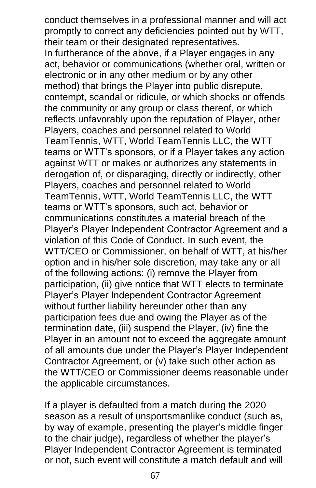conduct themselves in a professional manner and will act promptly to correct any deficiencies pointed out by WTT, their team or their designated representatives. In furtherance of the above, if a Player engages in any act, behavior or communications (whether oral, written or electronic or in any other medium or by any other method) that brings the Player into public disrepute, contempt, scandal or ridicule, or which shocks or offends the community or any group or class thereof, or which reflects unfavorably upon the reputation of Player, other Players, coaches and personnel related to World TeamTennis, WTT, World TeamTennis LLC, the WTT teams or WTT's sponsors, or if a Player takes any action against WTT or makes or authorizes any statements in derogation of, or disparaging, directly or indirectly, other Players, coaches and personnel related to World TeamTennis, WTT, World TeamTennis LLC, the WTT teams or WTT's sponsors, such act, behavior or communications constitutes a material breach of the Player's Player Independent Contractor Agreement and a violation of this Code of Conduct. In such event, the WTT/CEO or Commissioner, on behalf of WTT, at his/her option and in his/her sole discretion, may take any or all of the following actions: (i) remove the Player from participation, (ii) give notice that WTT elects to terminate Player's Player Independent Contractor Agreement without further liability hereunder other than any participation fees due and owing the Player as of the termination date, (iii) suspend the Player, (iv) fine the Player in an amount not to exceed the aggregate amount of all amounts due under the Player's Player Independent Contractor Agreement, or (v) take such other action as the WTT/CEO or Commissioner deems reasonable under the applicable circumstances.

If a player is defaulted from a match during the 2020 season as a result of unsportsmanlike conduct (such as, by way of example, presenting the player's middle finger to the chair judge), regardless of whether the player's Player Independent Contractor Agreement is terminated or not, such event will constitute a match default and will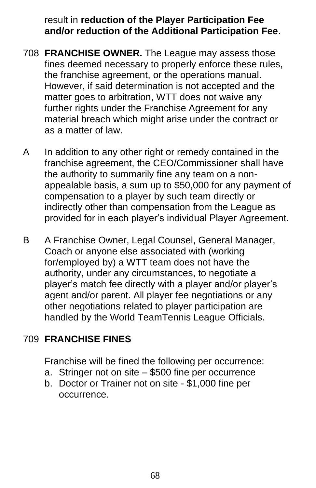#### result in **reduction of the Player Participation Fee and/or reduction of the Additional Participation Fee**.

- 708 **FRANCHISE OWNER.** The League may assess those fines deemed necessary to properly enforce these rules, the franchise agreement, or the operations manual. However, if said determination is not accepted and the matter goes to arbitration, WTT does not waive any further rights under the Franchise Agreement for any material breach which might arise under the contract or as a matter of law.
- A In addition to any other right or remedy contained in the franchise agreement, the CEO/Commissioner shall have the authority to summarily fine any team on a nonappealable basis, a sum up to \$50,000 for any payment of compensation to a player by such team directly or indirectly other than compensation from the League as provided for in each player's individual Player Agreement.
- B A Franchise Owner, Legal Counsel, General Manager, Coach or anyone else associated with (working for/employed by) a WTT team does not have the authority, under any circumstances, to negotiate a player's match fee directly with a player and/or player's agent and/or parent. All player fee negotiations or any other negotiations related to player participation are handled by the World TeamTennis League Officials.

#### 709 **FRANCHISE FINES**

Franchise will be fined the following per occurrence:

- a. Stringer not on site \$500 fine per occurrence
- b. Doctor or Trainer not on site \$1,000 fine per occurrence.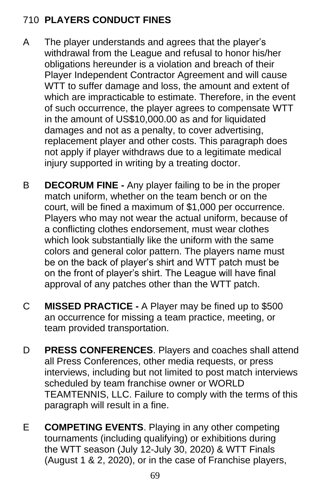# 710 **PLAYERS CONDUCT FINES**

- A The player understands and agrees that the player's withdrawal from the League and refusal to honor his/her obligations hereunder is a violation and breach of their Player Independent Contractor Agreement and will cause WTT to suffer damage and loss, the amount and extent of which are impracticable to estimate. Therefore, in the event of such occurrence, the player agrees to compensate WTT in the amount of US\$10,000.00 as and for liquidated damages and not as a penalty, to cover advertising, replacement player and other costs. This paragraph does not apply if player withdraws due to a legitimate medical injury supported in writing by a treating doctor.
- B **DECORUM FINE -** Any player failing to be in the proper match uniform, whether on the team bench or on the court, will be fined a maximum of \$1,000 per occurrence. Players who may not wear the actual uniform, because of a conflicting clothes endorsement, must wear clothes which look substantially like the uniform with the same colors and general color pattern. The players name must be on the back of player's shirt and WTT patch must be on the front of player's shirt. The League will have final approval of any patches other than the WTT patch.
- C **MISSED PRACTICE -** A Player may be fined up to \$500 an occurrence for missing a team practice, meeting, or team provided transportation.
- D **PRESS CONFERENCES**. Players and coaches shall attend all Press Conferences, other media requests, or press interviews, including but not limited to post match interviews scheduled by team franchise owner or WORLD TEAMTENNIS, LLC. Failure to comply with the terms of this paragraph will result in a fine.
- E **COMPETING EVENTS**. Playing in any other competing tournaments (including qualifying) or exhibitions during the WTT season (July 12-July 30, 2020) & WTT Finals (August 1 & 2, 2020), or in the case of Franchise players,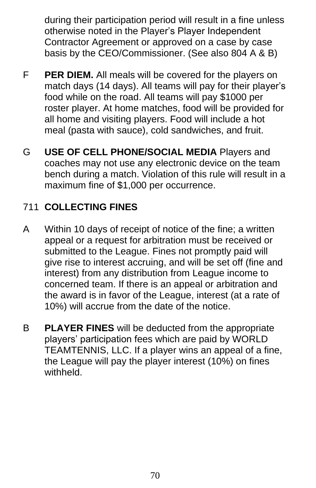during their participation period will result in a fine unless otherwise noted in the Player's Player Independent Contractor Agreement or approved on a case by case basis by the CEO/Commissioner. (See also 804 A & B)

- F **PER DIEM.** All meals will be covered for the players on match days (14 days). All teams will pay for their player's food while on the road. All teams will pay \$1000 per roster player. At home matches, food will be provided for all home and visiting players. Food will include a hot meal (pasta with sauce), cold sandwiches, and fruit.
- G **USE OF CELL PHONE/SOCIAL MEDIA** Players and coaches may not use any electronic device on the team bench during a match. Violation of this rule will result in a maximum fine of \$1,000 per occurrence.

# 711 **COLLECTING FINES**

- A Within 10 days of receipt of notice of the fine; a written appeal or a request for arbitration must be received or submitted to the League. Fines not promptly paid will give rise to interest accruing, and will be set off (fine and interest) from any distribution from League income to concerned team. If there is an appeal or arbitration and the award is in favor of the League, interest (at a rate of 10%) will accrue from the date of the notice.
- B **PLAYER FINES** will be deducted from the appropriate players' participation fees which are paid by WORLD TEAMTENNIS, LLC. If a player wins an appeal of a fine, the League will pay the player interest (10%) on fines withheld.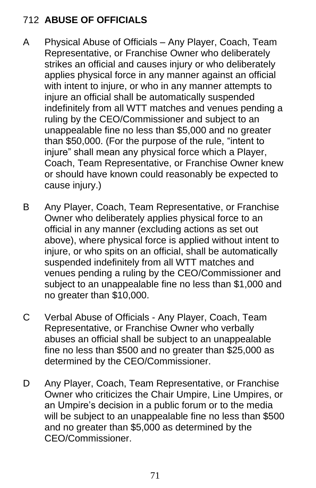## 712 **ABUSE OF OFFICIALS**

- A Physical Abuse of Officials Any Player, Coach, Team Representative, or Franchise Owner who deliberately strikes an official and causes injury or who deliberately applies physical force in any manner against an official with intent to injure, or who in any manner attempts to injure an official shall be automatically suspended indefinitely from all WTT matches and venues pending a ruling by the CEO/Commissioner and subject to an unappealable fine no less than \$5,000 and no greater than \$50,000. (For the purpose of the rule, "intent to injure" shall mean any physical force which a Player, Coach, Team Representative, or Franchise Owner knew or should have known could reasonably be expected to cause injury.)
- B Any Player, Coach, Team Representative, or Franchise Owner who deliberately applies physical force to an official in any manner (excluding actions as set out above), where physical force is applied without intent to injure, or who spits on an official, shall be automatically suspended indefinitely from all WTT matches and venues pending a ruling by the CEO/Commissioner and subject to an unappealable fine no less than \$1,000 and no greater than \$10,000.
- C Verbal Abuse of Officials Any Player, Coach, Team Representative, or Franchise Owner who verbally abuses an official shall be subject to an unappealable fine no less than \$500 and no greater than \$25,000 as determined by the CEO/Commissioner.
- D Any Player, Coach, Team Representative, or Franchise Owner who criticizes the Chair Umpire, Line Umpires, or an Umpire's decision in a public forum or to the media will be subject to an unappealable fine no less than \$500 and no greater than \$5,000 as determined by the CEO/Commissioner.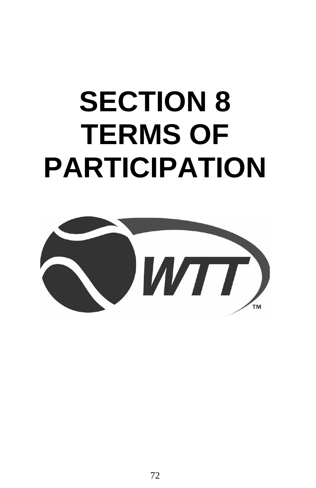# **SECTION 8 TERMS OF PARTICIPATION**

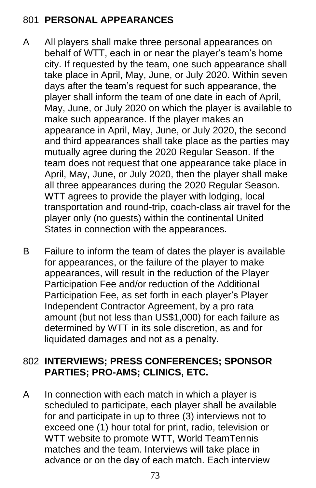### 801 **PERSONAL APPEARANCES**

- A All players shall make three personal appearances on behalf of WTT, each in or near the player's team's home city. If requested by the team, one such appearance shall take place in April, May, June, or July 2020. Within seven days after the team's request for such appearance, the player shall inform the team of one date in each of April, May, June, or July 2020 on which the player is available to make such appearance. If the player makes an appearance in April, May, June, or July 2020, the second and third appearances shall take place as the parties may mutually agree during the 2020 Regular Season. If the team does not request that one appearance take place in April, May, June, or July 2020, then the player shall make all three appearances during the 2020 Regular Season. WTT agrees to provide the player with lodging, local transportation and round-trip, coach-class air travel for the player only (no guests) within the continental United States in connection with the appearances.
- B Failure to inform the team of dates the player is available for appearances, or the failure of the player to make appearances, will result in the reduction of the Player Participation Fee and/or reduction of the Additional Participation Fee, as set forth in each player's Player Independent Contractor Agreement, by a pro rata amount (but not less than US\$1,000) for each failure as determined by WTT in its sole discretion, as and for liquidated damages and not as a penalty.

#### 802 **INTERVIEWS; PRESS CONFERENCES; SPONSOR PARTIES; PRO-AMS; CLINICS, ETC.**

A In connection with each match in which a player is scheduled to participate, each player shall be available for and participate in up to three (3) interviews not to exceed one (1) hour total for print, radio, television or WTT website to promote WTT, World TeamTennis matches and the team. Interviews will take place in advance or on the day of each match. Each interview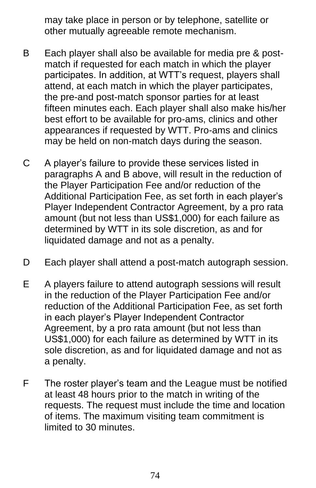may take place in person or by telephone, satellite or other mutually agreeable remote mechanism.

- B Each player shall also be available for media pre & postmatch if requested for each match in which the player participates. In addition, at WTT's request, players shall attend, at each match in which the player participates, the pre-and post-match sponsor parties for at least fifteen minutes each. Each player shall also make his/her best effort to be available for pro-ams, clinics and other appearances if requested by WTT. Pro-ams and clinics may be held on non-match days during the season.
- C A player's failure to provide these services listed in paragraphs A and B above, will result in the reduction of the Player Participation Fee and/or reduction of the Additional Participation Fee, as set forth in each player's Player Independent Contractor Agreement, by a pro rata amount (but not less than US\$1,000) for each failure as determined by WTT in its sole discretion, as and for liquidated damage and not as a penalty.
- D Each player shall attend a post-match autograph session.
- E A players failure to attend autograph sessions will result in the reduction of the Player Participation Fee and/or reduction of the Additional Participation Fee, as set forth in each player's Player Independent Contractor Agreement, by a pro rata amount (but not less than US\$1,000) for each failure as determined by WTT in its sole discretion, as and for liquidated damage and not as a penalty.
- F The roster player's team and the League must be notified at least 48 hours prior to the match in writing of the requests. The request must include the time and location of items. The maximum visiting team commitment is limited to 30 minutes.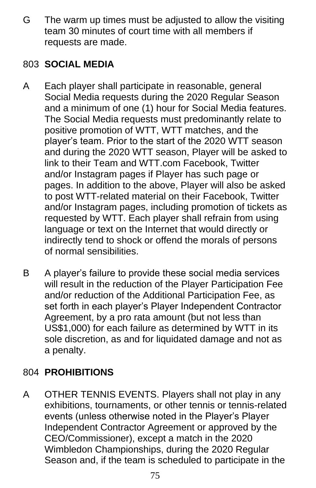G The warm up times must be adjusted to allow the visiting team 30 minutes of court time with all members if requests are made.

## 803 **SOCIAL MEDIA**

- A Each player shall participate in reasonable, general Social Media requests during the 2020 Regular Season and a minimum of one (1) hour for Social Media features. The Social Media requests must predominantly relate to positive promotion of WTT, WTT matches, and the player's team. Prior to the start of the 2020 WTT season and during the 2020 WTT season, Player will be asked to link to their Team and WTT.com Facebook, Twitter and/or Instagram pages if Player has such page or pages. In addition to the above, Player will also be asked to post WTT-related material on their Facebook, Twitter and/or Instagram pages, including promotion of tickets as requested by WTT. Each player shall refrain from using language or text on the Internet that would directly or indirectly tend to shock or offend the morals of persons of normal sensibilities.
- B A player's failure to provide these social media services will result in the reduction of the Player Participation Fee and/or reduction of the Additional Participation Fee, as set forth in each player's Player Independent Contractor Agreement, by a pro rata amount (but not less than US\$1,000) for each failure as determined by WTT in its sole discretion, as and for liquidated damage and not as a penalty.

## 804 **PROHIBITIONS**

A OTHER TENNIS EVENTS. Players shall not play in any exhibitions, tournaments, or other tennis or tennis-related events (unless otherwise noted in the Player's Player Independent Contractor Agreement or approved by the CEO/Commissioner), except a match in the 2020 Wimbledon Championships, during the 2020 Regular Season and, if the team is scheduled to participate in the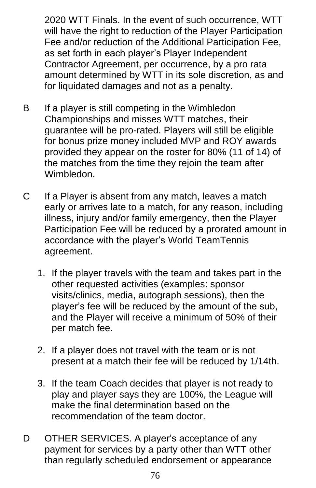2020 WTT Finals. In the event of such occurrence, WTT will have the right to reduction of the Player Participation Fee and/or reduction of the Additional Participation Fee, as set forth in each player's Player Independent Contractor Agreement, per occurrence, by a pro rata amount determined by WTT in its sole discretion, as and for liquidated damages and not as a penalty.

- B If a player is still competing in the Wimbledon Championships and misses WTT matches, their guarantee will be pro-rated. Players will still be eligible for bonus prize money included MVP and ROY awards provided they appear on the roster for 80% (11 of 14) of the matches from the time they rejoin the team after Wimbledon.
- C If a Player is absent from any match, leaves a match early or arrives late to a match, for any reason, including illness, injury and/or family emergency, then the Player Participation Fee will be reduced by a prorated amount in accordance with the player's World TeamTennis agreement.
	- 1. If the player travels with the team and takes part in the other requested activities (examples: sponsor visits/clinics, media, autograph sessions), then the player's fee will be reduced by the amount of the sub, and the Player will receive a minimum of 50% of their per match fee.
	- 2. If a player does not travel with the team or is not present at a match their fee will be reduced by 1/14th.
	- 3. If the team Coach decides that player is not ready to play and player says they are 100%, the League will make the final determination based on the recommendation of the team doctor.
- D OTHER SERVICES. A player's acceptance of any payment for services by a party other than WTT other than regularly scheduled endorsement or appearance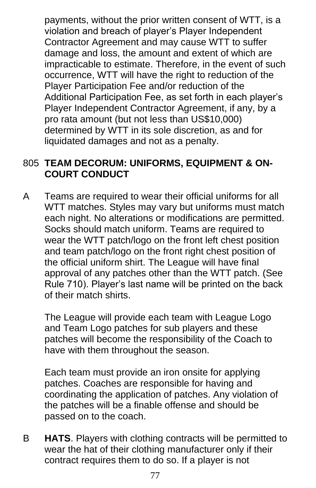payments, without the prior written consent of WTT, is a violation and breach of player's Player Independent Contractor Agreement and may cause WTT to suffer damage and loss, the amount and extent of which are impracticable to estimate. Therefore, in the event of such occurrence, WTT will have the right to reduction of the Player Participation Fee and/or reduction of the Additional Participation Fee, as set forth in each player's Player Independent Contractor Agreement, if any, by a pro rata amount (but not less than US\$10,000) determined by WTT in its sole discretion, as and for liquidated damages and not as a penalty.

#### 805 **TEAM DECORUM: UNIFORMS, EQUIPMENT & ON-COURT CONDUCT**

A Teams are required to wear their official uniforms for all WTT matches. Styles may vary but uniforms must match each night. No alterations or modifications are permitted. Socks should match uniform. Teams are required to wear the WTT patch/logo on the front left chest position and team patch/logo on the front right chest position of the official uniform shirt. The League will have final approval of any patches other than the WTT patch. (See Rule 710). Player's last name will be printed on the back of their match shirts.

The League will provide each team with League Logo and Team Logo patches for sub players and these patches will become the responsibility of the Coach to have with them throughout the season.

Each team must provide an iron onsite for applying patches. Coaches are responsible for having and coordinating the application of patches. Any violation of the patches will be a finable offense and should be passed on to the coach.

B **HATS**. Players with clothing contracts will be permitted to wear the hat of their clothing manufacturer only if their contract requires them to do so. If a player is not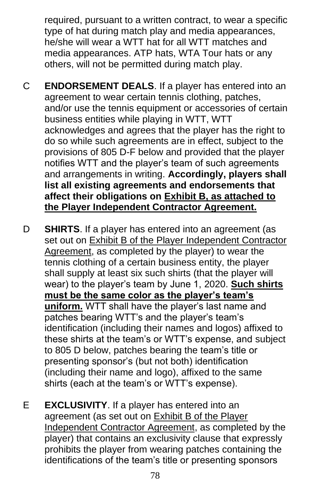required, pursuant to a written contract, to wear a specific type of hat during match play and media appearances, he/she will wear a WTT hat for all WTT matches and media appearances. ATP hats, WTA Tour hats or any others, will not be permitted during match play.

- C **ENDORSEMENT DEALS**. If a player has entered into an agreement to wear certain tennis clothing, patches, and/or use the tennis equipment or accessories of certain business entities while playing in WTT, WTT acknowledges and agrees that the player has the right to do so while such agreements are in effect, subject to the provisions of 805 D-F below and provided that the player notifies WTT and the player's team of such agreements and arrangements in writing. **Accordingly, players shall list all existing agreements and endorsements that affect their obligations on Exhibit B, as attached to the Player Independent Contractor Agreement.**
- D **SHIRTS**. If a player has entered into an agreement (as set out on Exhibit B of the Player Independent Contractor Agreement, as completed by the player) to wear the tennis clothing of a certain business entity, the player shall supply at least six such shirts (that the player will wear) to the player's team by June 1, 2020. **Such shirts must be the same color as the player's team's uniform.** WTT shall have the player's last name and patches bearing WTT's and the player's team's identification (including their names and logos) affixed to these shirts at the team's or WTT's expense, and subject to 805 D below, patches bearing the team's title or presenting sponsor's (but not both) identification (including their name and logo), affixed to the same shirts (each at the team's or WTT's expense).
- E **EXCLUSIVITY**. If a player has entered into an agreement (as set out on Exhibit B of the Player Independent Contractor Agreement, as completed by the player) that contains an exclusivity clause that expressly prohibits the player from wearing patches containing the identifications of the team's title or presenting sponsors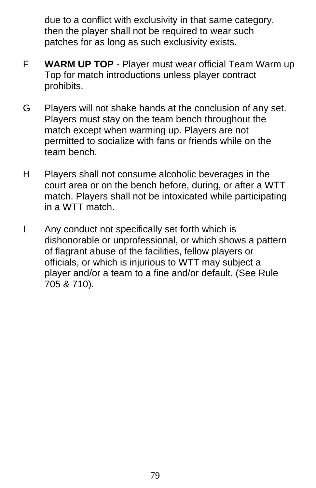due to a conflict with exclusivity in that same category, then the player shall not be required to wear such patches for as long as such exclusivity exists.

- F **WARM UP TOP** Player must wear official Team Warm up Top for match introductions unless player contract prohibits.
- G Players will not shake hands at the conclusion of any set. Players must stay on the team bench throughout the match except when warming up. Players are not permitted to socialize with fans or friends while on the team bench.
- H Players shall not consume alcoholic beverages in the court area or on the bench before, during, or after a WTT match. Players shall not be intoxicated while participating in a WTT match.
- I Any conduct not specifically set forth which is dishonorable or unprofessional, or which shows a pattern of flagrant abuse of the facilities, fellow players or officials, or which is injurious to WTT may subject a player and/or a team to a fine and/or default. (See Rule 705 & 710).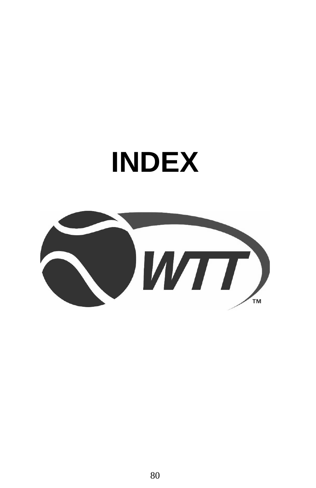# **INDEX**

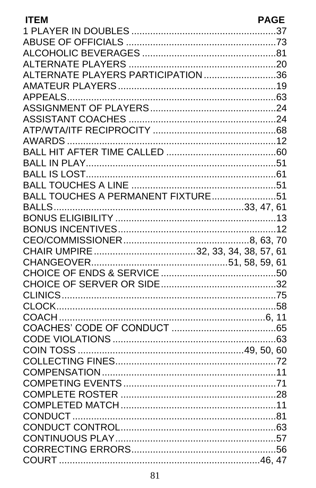| <b>ITEM</b>                        | <b>PAGE</b> |
|------------------------------------|-------------|
|                                    |             |
|                                    |             |
|                                    |             |
|                                    |             |
| ALTERNATE PLAYERS PARTICIPATION36  |             |
|                                    |             |
|                                    |             |
|                                    |             |
|                                    |             |
|                                    |             |
|                                    |             |
|                                    |             |
|                                    |             |
|                                    |             |
|                                    |             |
| BALL TOUCHES A PERMANENT FIXTURE51 |             |
|                                    |             |
|                                    |             |
|                                    |             |
|                                    |             |
|                                    |             |
|                                    |             |
|                                    |             |
|                                    |             |
|                                    |             |
|                                    |             |
|                                    |             |
|                                    |             |
|                                    |             |
|                                    |             |
|                                    |             |
|                                    |             |
|                                    |             |
|                                    |             |
|                                    |             |
|                                    |             |
|                                    |             |
|                                    |             |
|                                    |             |
|                                    |             |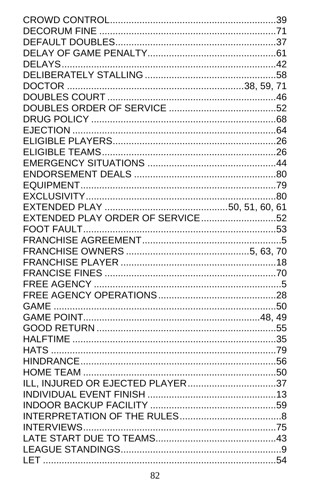| EXTENDED PLAY ORDER OF SERVICE52 |  |  |
|----------------------------------|--|--|
|                                  |  |  |
|                                  |  |  |
|                                  |  |  |
|                                  |  |  |
|                                  |  |  |
|                                  |  |  |
|                                  |  |  |
|                                  |  |  |
|                                  |  |  |
|                                  |  |  |
|                                  |  |  |
|                                  |  |  |
|                                  |  |  |
|                                  |  |  |
| ILL, INJURED OR EJECTED PLAYER37 |  |  |
|                                  |  |  |
|                                  |  |  |
|                                  |  |  |
|                                  |  |  |
|                                  |  |  |
|                                  |  |  |
|                                  |  |  |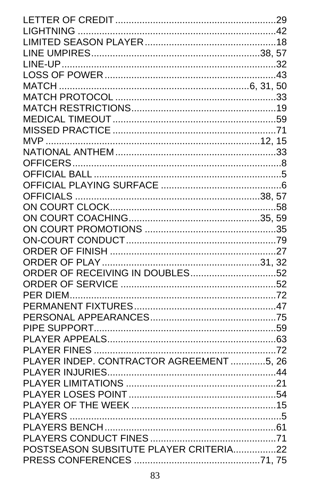| PLAYER INDEP, CONTRACTOR AGREEMENT 5.26 |  |
|-----------------------------------------|--|
|                                         |  |
|                                         |  |
|                                         |  |
|                                         |  |
|                                         |  |
|                                         |  |
|                                         |  |
| POSTSEASON SUBSITUTE PLAYER CRITERIA22  |  |
|                                         |  |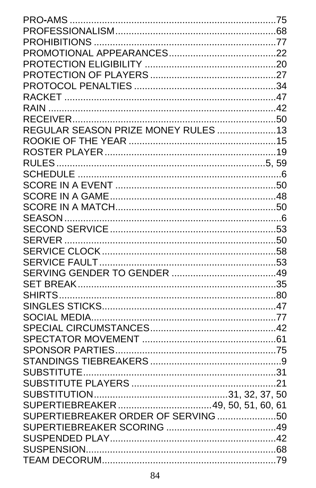| REGULAR SEASON PRIZE MONEY RULES 13 |  |
|-------------------------------------|--|
|                                     |  |
|                                     |  |
|                                     |  |
|                                     |  |
|                                     |  |
|                                     |  |
|                                     |  |
|                                     |  |
|                                     |  |
|                                     |  |
|                                     |  |
|                                     |  |
|                                     |  |
|                                     |  |
|                                     |  |
|                                     |  |
|                                     |  |
|                                     |  |
|                                     |  |
|                                     |  |
|                                     |  |
|                                     |  |
|                                     |  |
|                                     |  |
| SUPERTIEBREAKER 49, 50, 51, 60, 61  |  |
| SUPERTIEBREAKER ORDER OF SERVING50  |  |
|                                     |  |
|                                     |  |
|                                     |  |
|                                     |  |